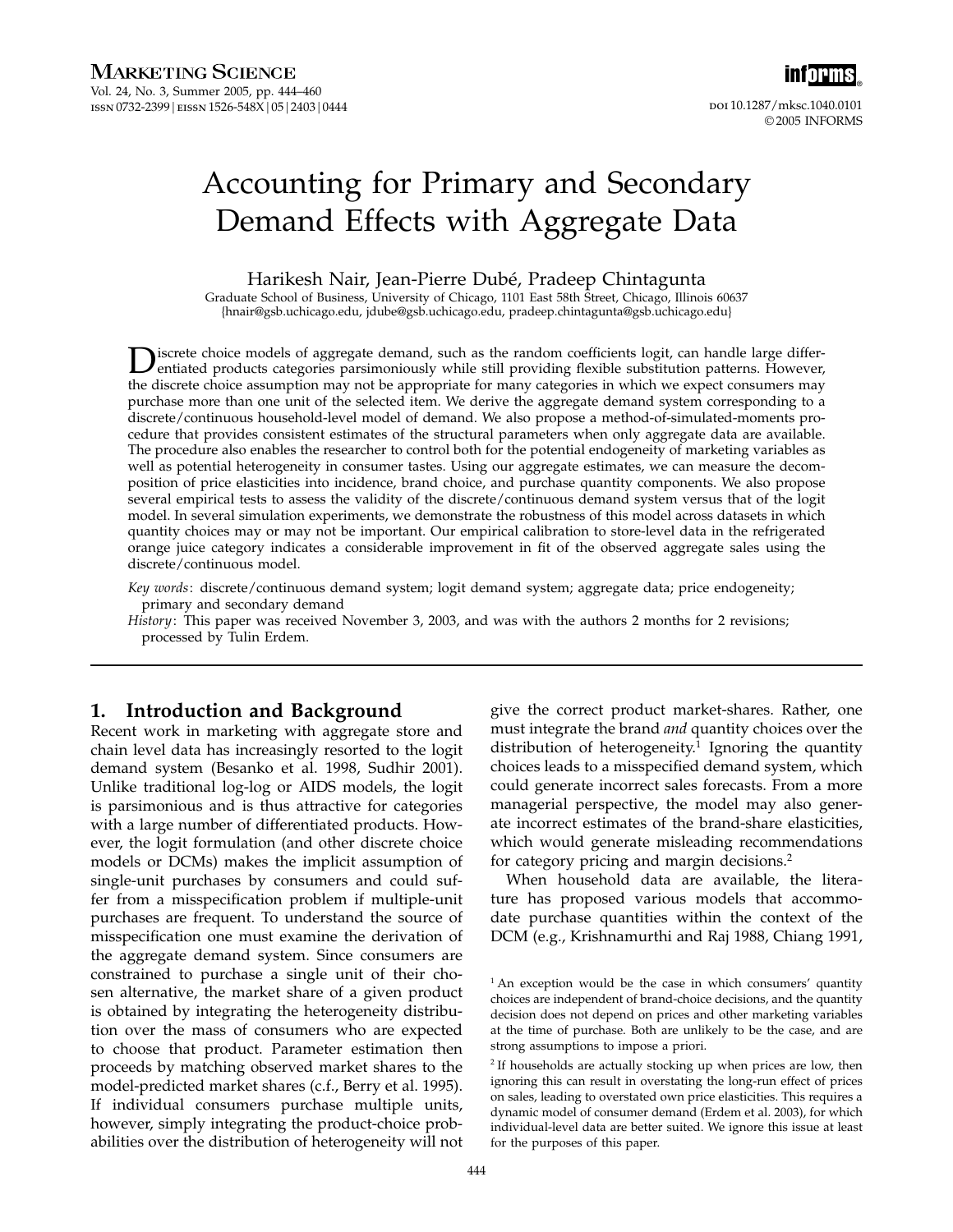in **iorms** doi 10.1287/mksc.1040.0101 © 2005 INFORMS

# Accounting for Primary and Secondary Demand Effects with Aggregate Data

# Harikesh Nair, Jean-Pierre Dubé, Pradeep Chintagunta

Graduate School of Business, University of Chicago, 1101 East 58th Street, Chicago, Illinois 60637 {hnair@gsb.uchicago.edu, jdube@gsb.uchicago.edu, pradeep.chintagunta@gsb.uchicago.edu}

Discrete choice models of aggregate demand, such as the random coefficients logit, can handle large differ-<br>entiated products categories parsimoniously while still providing flexible substitution patterns. However,<br>the dis the discrete choice assumption may not be appropriate for many categories in which we expect consumers may purchase more than one unit of the selected item. We derive the aggregate demand system corresponding to a discrete/continuous household-level model of demand. We also propose a method-of-simulated-moments procedure that provides consistent estimates of the structural parameters when only aggregate data are available. The procedure also enables the researcher to control both for the potential endogeneity of marketing variables as well as potential heterogeneity in consumer tastes. Using our aggregate estimates, we can measure the decomposition of price elasticities into incidence, brand choice, and purchase quantity components. We also propose several empirical tests to assess the validity of the discrete/continuous demand system versus that of the logit model. In several simulation experiments, we demonstrate the robustness of this model across datasets in which quantity choices may or may not be important. Our empirical calibration to store-level data in the refrigerated orange juice category indicates a considerable improvement in fit of the observed aggregate sales using the discrete/continuous model.

Key words: discrete/continuous demand system; logit demand system; aggregate data; price endogeneity; primary and secondary demand

History: This paper was received November 3, 2003, and was with the authors 2 months for 2 revisions; processed by Tulin Erdem.

# 1. Introduction and Background

Recent work in marketing with aggregate store and chain level data has increasingly resorted to the logit demand system (Besanko et al. 1998, Sudhir 2001). Unlike traditional log-log or AIDS models, the logit is parsimonious and is thus attractive for categories with a large number of differentiated products. However, the logit formulation (and other discrete choice models or DCMs) makes the implicit assumption of single-unit purchases by consumers and could suffer from a misspecification problem if multiple-unit purchases are frequent. To understand the source of misspecification one must examine the derivation of the aggregate demand system. Since consumers are constrained to purchase a single unit of their chosen alternative, the market share of a given product is obtained by integrating the heterogeneity distribution over the mass of consumers who are expected to choose that product. Parameter estimation then proceeds by matching observed market shares to the model-predicted market shares (c.f., Berry et al. 1995). If individual consumers purchase multiple units, however, simply integrating the product-choice probabilities over the distribution of heterogeneity will not

give the correct product market-shares. Rather, one must integrate the brand and quantity choices over the distribution of heterogeneity.<sup>1</sup> Ignoring the quantity choices leads to a misspecified demand system, which could generate incorrect sales forecasts. From a more managerial perspective, the model may also generate incorrect estimates of the brand-share elasticities, which would generate misleading recommendations for category pricing and margin decisions.<sup>2</sup>

When household data are available, the literature has proposed various models that accommodate purchase quantities within the context of the DCM (e.g., Krishnamurthi and Raj 1988, Chiang 1991,

 $<sup>1</sup>$  An exception would be the case in which consumers' quantity</sup> choices are independent of brand-choice decisions, and the quantity decision does not depend on prices and other marketing variables at the time of purchase. Both are unlikely to be the case, and are strong assumptions to impose a priori.

<sup>&</sup>lt;sup>2</sup> If households are actually stocking up when prices are low, then ignoring this can result in overstating the long-run effect of prices on sales, leading to overstated own price elasticities. This requires a dynamic model of consumer demand (Erdem et al. 2003), for which individual-level data are better suited. We ignore this issue at least for the purposes of this paper.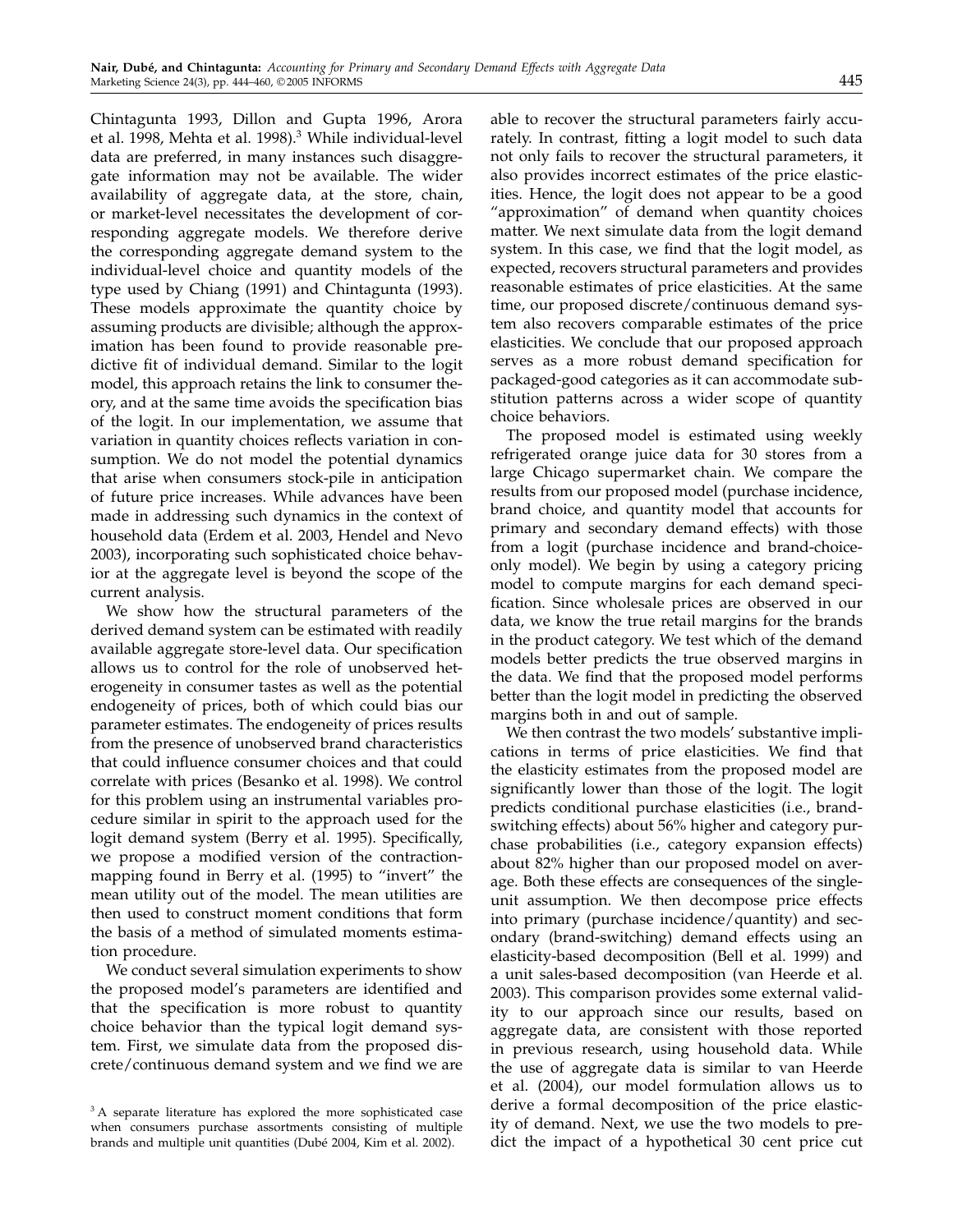Chintagunta 1993, Dillon and Gupta 1996, Arora et al. 1998, Mehta et al. 1998).<sup>3</sup> While individual-level data are preferred, in many instances such disaggregate information may not be available. The wider availability of aggregate data, at the store, chain, or market-level necessitates the development of corresponding aggregate models. We therefore derive the corresponding aggregate demand system to the individual-level choice and quantity models of the type used by Chiang (1991) and Chintagunta (1993). These models approximate the quantity choice by assuming products are divisible; although the approximation has been found to provide reasonable predictive fit of individual demand. Similar to the logit model, this approach retains the link to consumer theory, and at the same time avoids the specification bias of the logit. In our implementation, we assume that variation in quantity choices reflects variation in consumption. We do not model the potential dynamics that arise when consumers stock-pile in anticipation of future price increases. While advances have been made in addressing such dynamics in the context of household data (Erdem et al. 2003, Hendel and Nevo 2003), incorporating such sophisticated choice behavior at the aggregate level is beyond the scope of the current analysis.

We show how the structural parameters of the derived demand system can be estimated with readily available aggregate store-level data. Our specification allows us to control for the role of unobserved heterogeneity in consumer tastes as well as the potential endogeneity of prices, both of which could bias our parameter estimates. The endogeneity of prices results from the presence of unobserved brand characteristics that could influence consumer choices and that could correlate with prices (Besanko et al. 1998). We control for this problem using an instrumental variables procedure similar in spirit to the approach used for the logit demand system (Berry et al. 1995). Specifically, we propose a modified version of the contractionmapping found in Berry et al. (1995) to "invert" the mean utility out of the model. The mean utilities are then used to construct moment conditions that form the basis of a method of simulated moments estimation procedure.

We conduct several simulation experiments to show the proposed model's parameters are identified and that the specification is more robust to quantity choice behavior than the typical logit demand system. First, we simulate data from the proposed discrete/continuous demand system and we find we are able to recover the structural parameters fairly accurately. In contrast, fitting a logit model to such data not only fails to recover the structural parameters, it also provides incorrect estimates of the price elasticities. Hence, the logit does not appear to be a good "approximation" of demand when quantity choices matter. We next simulate data from the logit demand system. In this case, we find that the logit model, as expected, recovers structural parameters and provides reasonable estimates of price elasticities. At the same time, our proposed discrete/continuous demand system also recovers comparable estimates of the price elasticities. We conclude that our proposed approach serves as a more robust demand specification for packaged-good categories as it can accommodate substitution patterns across a wider scope of quantity choice behaviors.

The proposed model is estimated using weekly refrigerated orange juice data for 30 stores from a large Chicago supermarket chain. We compare the results from our proposed model (purchase incidence, brand choice, and quantity model that accounts for primary and secondary demand effects) with those from a logit (purchase incidence and brand-choiceonly model). We begin by using a category pricing model to compute margins for each demand specification. Since wholesale prices are observed in our data, we know the true retail margins for the brands in the product category. We test which of the demand models better predicts the true observed margins in the data. We find that the proposed model performs better than the logit model in predicting the observed margins both in and out of sample.

We then contrast the two models' substantive implications in terms of price elasticities. We find that the elasticity estimates from the proposed model are significantly lower than those of the logit. The logit predicts conditional purchase elasticities (i.e., brandswitching effects) about 56% higher and category purchase probabilities (i.e., category expansion effects) about 82% higher than our proposed model on average. Both these effects are consequences of the singleunit assumption. We then decompose price effects into primary (purchase incidence/quantity) and secondary (brand-switching) demand effects using an elasticity-based decomposition (Bell et al. 1999) and a unit sales-based decomposition (van Heerde et al. 2003). This comparison provides some external validity to our approach since our results, based on aggregate data, are consistent with those reported in previous research, using household data. While the use of aggregate data is similar to van Heerde et al. (2004), our model formulation allows us to derive a formal decomposition of the price elasticity of demand. Next, we use the two models to predict the impact of a hypothetical 30 cent price cut

<sup>&</sup>lt;sup>3</sup> A separate literature has explored the more sophisticated case when consumers purchase assortments consisting of multiple brands and multiple unit quantities (Dubé 2004, Kim et al. 2002).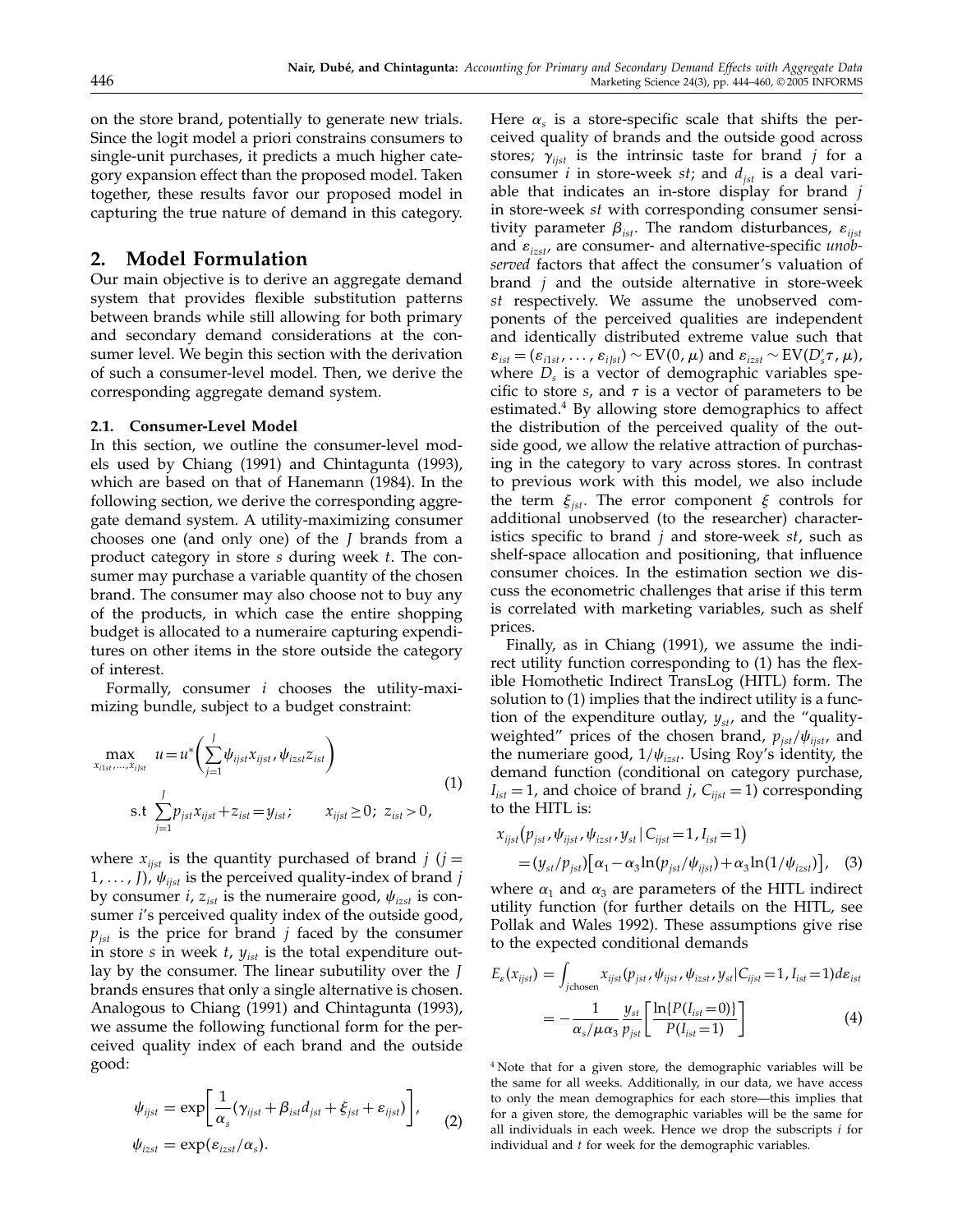on the store brand, potentially to generate new trials. Since the logit model a priori constrains consumers to single-unit purchases, it predicts a much higher category expansion effect than the proposed model. Taken together, these results favor our proposed model in capturing the true nature of demand in this category.

# 2. Model Formulation

Our main objective is to derive an aggregate demand system that provides flexible substitution patterns between brands while still allowing for both primary and secondary demand considerations at the consumer level. We begin this section with the derivation of such a consumer-level model. Then, we derive the corresponding aggregate demand system.

# 2.1. Consumer-Level Model

In this section, we outline the consumer-level models used by Chiang (1991) and Chintagunta (1993), which are based on that of Hanemann (1984). In the following section, we derive the corresponding aggregate demand system. A utility-maximizing consumer chooses one (and only one) of the J brands from a product category in store s during week t. The consumer may purchase a variable quantity of the chosen brand. The consumer may also choose not to buy any of the products, in which case the entire shopping budget is allocated to a numeraire capturing expenditures on other items in the store outside the category of interest.

Formally, consumer  $i$  chooses the utility-maximizing bundle, subject to a budget constraint:

$$
\max_{x_{i1st},...,x_{ijst}} u = u^* \left( \sum_{j=1}^J \psi_{ijst} x_{ijst}, \psi_{izst} z_{ist} \right)
$$
  
s.t 
$$
\sum_{j=1}^J p_{jst} x_{ijst} + z_{ist} = y_{ist}; \qquad x_{ijst} \ge 0; \ z_{ist} > 0,
$$
 (1)

where  $x_{i,jst}$  is the quantity purchased of brand  $j$  ( $j =$ 1, . . . , J),  $\psi_{ijst}$  is the perceived quality-index of brand  $j$ by consumer *i*,  $z_{ist}$  is the numeraire good,  $\psi_{izst}$  is consumer i's perceived quality index of the outside good,  $p_{jst}$  is the price for brand j faced by the consumer in store  $s$  in week  $t$ ,  $y_{ist}$  is the total expenditure outlay by the consumer. The linear subutility over the J brands ensures that only a single alternative is chosen. Analogous to Chiang (1991) and Chintagunta (1993), we assume the following functional form for the perceived quality index of each brand and the outside good:

$$
\psi_{ijst} = \exp\left[\frac{1}{\alpha_s}(\gamma_{ijst} + \beta_{ist}d_{jst} + \xi_{jst} + \varepsilon_{ijst})\right],
$$
  
\n
$$
\psi_{izst} = \exp(\varepsilon_{izst}/\alpha_s).
$$
\n(2)

Here  $\alpha_s$  is a store-specific scale that shifts the perceived quality of brands and the outside good across stores;  $\gamma_{i,j}$  is the intrinsic taste for brand j for a consumer *i* in store-week *st*; and  $d_{ist}$  is a deal variable that indicates an in-store display for brand j in store-week st with corresponding consumer sensitivity parameter  $\beta_{ist}$ . The random disturbances,  $\varepsilon_{iist}$ and  $\varepsilon_{izst}$ , are consumer- and alternative-specific unobserved factors that affect the consumer's valuation of brand  $j$  and the outside alternative in store-week st respectively. We assume the unobserved components of the perceived qualities are independent and identically distributed extreme value such that  $\varepsilon_{ist} = (\varepsilon_{i1st}, \ldots, \varepsilon_{iJst}) \sim \text{EV}(0, \mu)$  and  $\varepsilon_{izst} \sim \text{EV}(D_s' \tau, \mu)$ , where  $D<sub>s</sub>$  is a vector of demographic variables specific to store s, and  $\tau$  is a vector of parameters to be estimated.<sup>4</sup> By allowing store demographics to affect the distribution of the perceived quality of the outside good, we allow the relative attraction of purchasing in the category to vary across stores. In contrast to previous work with this model, we also include the term  $\xi_{ist}$ . The error component  $\xi$  controls for additional unobserved (to the researcher) characteristics specific to brand  $j$  and store-week  $st$ , such as shelf-space allocation and positioning, that influence consumer choices. In the estimation section we discuss the econometric challenges that arise if this term is correlated with marketing variables, such as shelf prices.

Finally, as in Chiang (1991), we assume the indirect utility function corresponding to (1) has the flexible Homothetic Indirect TransLog (HITL) form. The solution to (1) implies that the indirect utility is a function of the expenditure outlay,  $y_{st}$ , and the "qualityweighted" prices of the chosen brand,  $p_{jst}/\psi_{ijst}$ , and the numeriare good,  $1/\psi_{\text{izst}}$ . Using Roy's identity, the demand function (conditional on category purchase,  $I_{ist} = 1$ , and choice of brand j,  $C_{ijst} = 1$ ) corresponding to the HITL is:

$$
x_{ijst}(p_{jst}, \psi_{ijst}, \psi_{izst}, y_{st} | C_{ijst} = 1, I_{ist} = 1)
$$
  
=  $(y_{st}/p_{jst})[\alpha_1 - \alpha_3 \ln(p_{jst}/\psi_{ijst}) + \alpha_3 \ln(1/\psi_{izst})],$  (3)

where  $\alpha_1$  and  $\alpha_3$  are parameters of the HITL indirect utility function (for further details on the HITL, see Pollak and Wales 1992). These assumptions give rise to the expected conditional demands

$$
E_{\varepsilon}(x_{ijst}) = \int_{j\text{chosen}} x_{ijst} (p_{jst}, \psi_{ijst}, \psi_{izst}, y_{st} | C_{ijst} = 1, I_{ist} = 1) d\varepsilon_{ist}
$$
  
= 
$$
-\frac{1}{\alpha_s / \mu \alpha_3} \frac{y_{st}}{p_{jst}} \left[ \frac{\ln\{P(I_{ist} = 0)\}}{P(I_{ist} = 1)} \right]
$$
(4)

<sup>4</sup> Note that for a given store, the demographic variables will be the same for all weeks. Additionally, in our data, we have access to only the mean demographics for each store—this implies that for a given store, the demographic variables will be the same for all individuals in each week. Hence we drop the subscripts  $i$  for individual and  $t$  for week for the demographic variables.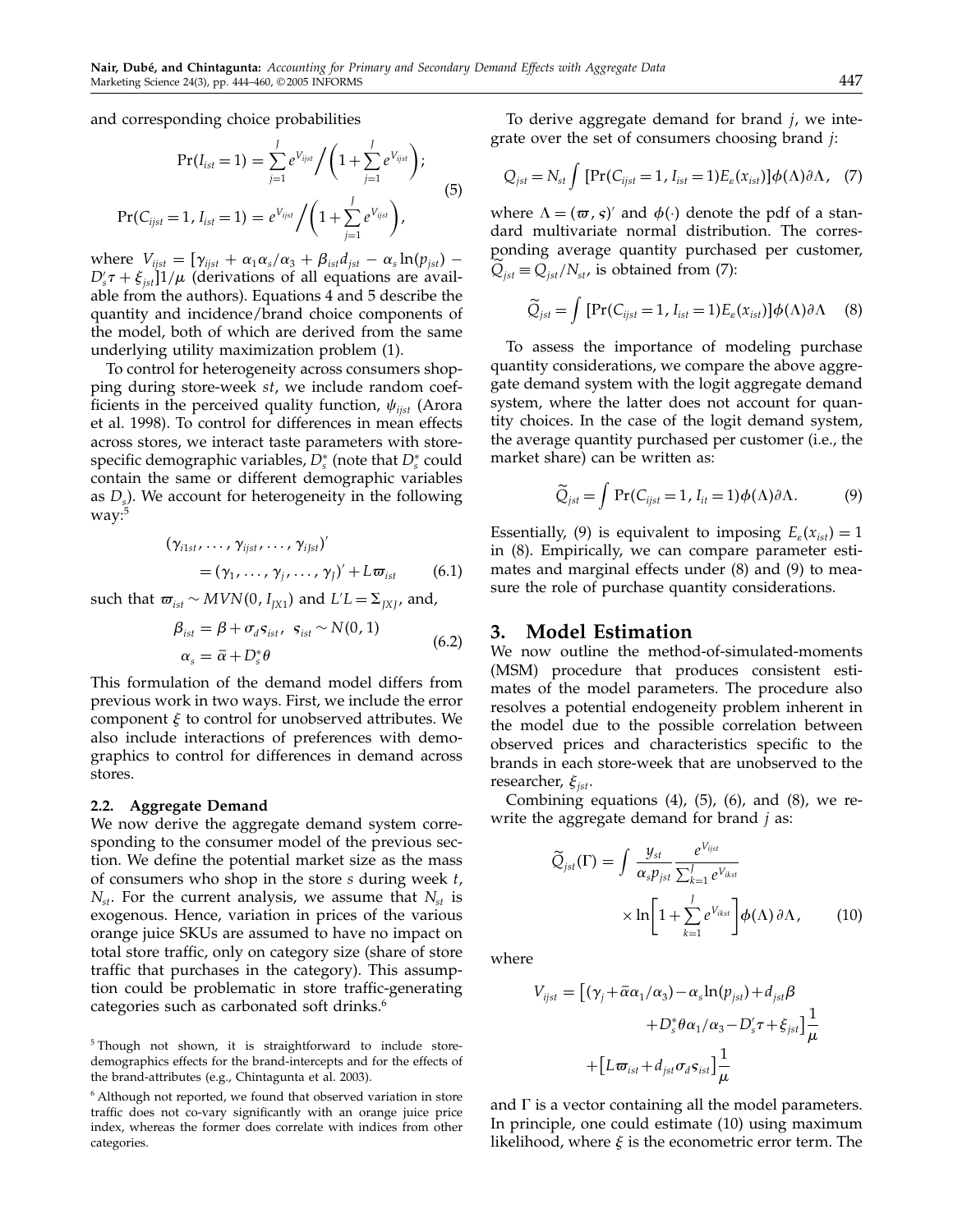and corresponding choice probabilities

$$
\Pr(I_{ist} = 1) = \sum_{j=1}^{J} e^{V_{ijst}} / \left(1 + \sum_{j=1}^{J} e^{V_{ijst}}\right);
$$
  

$$
\Pr(C_{ijst} = 1, I_{ist} = 1) = e^{V_{ijst}} / \left(1 + \sum_{j=1}^{J} e^{V_{ijst}}\right),
$$
 (5)

where  $V_{ijst} = [\gamma_{ijst} + \alpha_1 \alpha_s/\alpha_3 + \beta_{ist} d_{jst} - \alpha_s \ln(\mathbf{p}_{jst}) D'_{s}\tau + \xi_{jst}$ ]1/ $\mu$  (derivations of all equations are available from the authors). Equations 4 and 5 describe the quantity and incidence/brand choice components of the model, both of which are derived from the same underlying utility maximization problem (1).

To control for heterogeneity across consumers shopping during store-week st, we include random coefficients in the perceived quality function,  $\psi_{ijst}$  (Arora et al. 1998). To control for differences in mean effects across stores, we interact taste parameters with storespecific demographic variables,  $D_{s}^{\ast}$  (note that  $D_{s}^{\ast}$  could contain the same or different demographic variables as  $D_s$ ). We account for heterogeneity in the following way:<sup>5</sup>

$$
(\gamma_{i1st},\ldots,\gamma_{ijst},\ldots,\gamma_{iJst})'
$$
  
=  $(\gamma_1,\ldots,\gamma_j,\ldots,\gamma_J)' + L\varpi_{ist}$  (6.1)

such that  $\varpi_{\scriptscriptstyle{ist}}$  ∼  $MVN(0,I_{\scriptscriptstyle{JX1}})$  and  $L'L$  =  $\Sigma_{\scriptscriptstyle{JXJ}}$ , and,

$$
\beta_{ist} = \beta + \sigma_d s_{ist}, \quad s_{ist} \sim N(0, 1)
$$
  
\n
$$
\alpha_s = \overline{\alpha} + D_s^* \theta
$$
\n(6.2)

This formulation of the demand model differs from previous work in two ways. First, we include the error component  $\xi$  to control for unobserved attributes. We also include interactions of preferences with demographics to control for differences in demand across stores.

#### 2.2. Aggregate Demand

We now derive the aggregate demand system corresponding to the consumer model of the previous section. We define the potential market size as the mass of consumers who shop in the store s during week t,  $N_{st}$ . For the current analysis, we assume that  $N_{st}$  is exogenous. Hence, variation in prices of the various orange juice SKUs are assumed to have no impact on total store traffic, only on category size (share of store traffic that purchases in the category). This assumption could be problematic in store traffic-generating categories such as carbonated soft drinks.<sup>6</sup>

To derive aggregate demand for brand  $j$ , we integrate over the set of consumers choosing brand *:* 

$$
Q_{jst} = N_{st} \int \left[ \Pr(C_{ijst} = 1, I_{ist} = 1) E_{\varepsilon}(x_{ist}) \right] \phi(\Lambda) \partial \Lambda, \quad (7)
$$

where  $\Lambda = (\varpi, s)'$  and  $\phi(\cdot)$  denote the pdf of a standard multivariate normal distribution. The corresponding average quantity purchased per customer,  $Q_{jst} \equiv Q_{jst}/N_{st}$ , is obtained from (7):

$$
\widetilde{Q}_{jst} = \int \left[ \Pr(C_{ijst} = 1, I_{ist} = 1) E_{\varepsilon}(x_{ist}) \right] \phi(\Lambda) \partial \Lambda \quad (8)
$$

To assess the importance of modeling purchase quantity considerations, we compare the above aggregate demand system with the logit aggregate demand system, where the latter does not account for quantity choices. In the case of the logit demand system, the average quantity purchased per customer (i.e., the market share) can be written as:

$$
\widetilde{Q}_{jst} = \int \Pr(C_{ijst} = 1, I_{it} = 1)\phi(\Lambda)\partial\Lambda.
$$
 (9)

Essentially, (9) is equivalent to imposing  $E_{\epsilon}(x_{ist}) = 1$ in (8). Empirically, we can compare parameter estimates and marginal effects under (8) and (9) to measure the role of purchase quantity considerations.

## 3. Model Estimation

We now outline the method-of-simulated-moments (MSM) procedure that produces consistent estimates of the model parameters. The procedure also resolves a potential endogeneity problem inherent in the model due to the possible correlation between observed prices and characteristics specific to the brands in each store-week that are unobserved to the researcher,  $\xi_{\text{ist}}$ .

Combining equations  $(4)$ ,  $(5)$ ,  $(6)$ , and  $(8)$ , we rewrite the aggregate demand for brand  $j$  as:

$$
\widetilde{Q}_{jst}(\Gamma) = \int \frac{y_{st}}{\alpha_s p_{jst}} \frac{e^{V_{ijst}}}{\sum_{k=1}^J e^{V_{ikst}}} \times \ln\left[1 + \sum_{k=1}^J e^{V_{ikst}}\right] \phi(\Lambda) \partial \Lambda, \qquad (10)
$$

where

$$
V_{ijst} = \left[ (\gamma_j + \overline{\alpha} \alpha_1/\alpha_3) - \alpha_s \ln(p_{jst}) + d_{jst}\beta + D_s^* \theta \alpha_1/\alpha_3 - D_s' \tau + \xi_{jst} \right] \frac{1}{\mu}
$$

$$
+ \left[ L\varpi_{ist} + d_{jst}\sigma_d s_{ist} \right] \frac{1}{\mu}
$$

and  $\Gamma$  is a vector containing all the model parameters. In principle, one could estimate (10) using maximum likelihood, where  $\xi$  is the econometric error term. The

<sup>&</sup>lt;sup>5</sup>Though not shown, it is straightforward to include storedemographics effects for the brand-intercepts and for the effects of the brand-attributes (e.g., Chintagunta et al. 2003).

<sup>&</sup>lt;sup>6</sup> Although not reported, we found that observed variation in store traffic does not co-vary significantly with an orange juice price index, whereas the former does correlate with indices from other categories.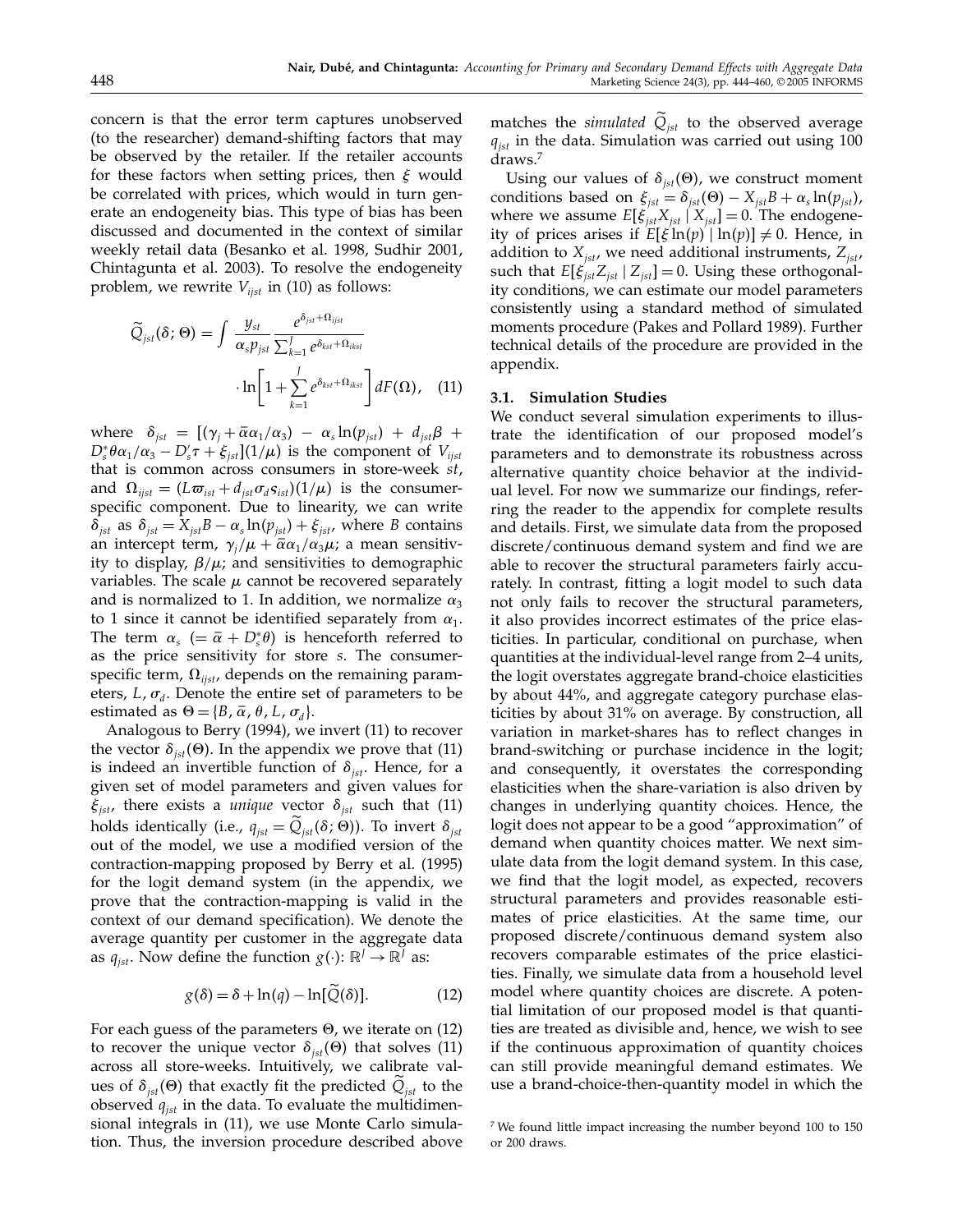concern is that the error term captures unobserved (to the researcher) demand-shifting factors that may be observed by the retailer. If the retailer accounts for these factors when setting prices, then  $\xi$  would be correlated with prices, which would in turn generate an endogeneity bias. This type of bias has been discussed and documented in the context of similar weekly retail data (Besanko et al. 1998, Sudhir 2001, Chintagunta et al. 2003). To resolve the endogeneity problem, we rewrite  $V_{i,jst}$  in (10) as follows:

$$
\widetilde{Q}_{jst}(\delta; \Theta) = \int \frac{y_{st}}{\alpha_s p_{jst}} \frac{e^{\delta_{jst} + \Omega_{ijst}}}{\sum_{k=1}^J e^{\delta_{kst} + \Omega_{ikst}}}
$$

$$
\cdot \ln\left[1 + \sum_{k=1}^J e^{\delta_{kst} + \Omega_{ikst}}\right] dF(\Omega), \quad (11)
$$

where  $\delta_{jst} = [(\gamma_j + \bar{\alpha}\alpha_1/\alpha_3) - \alpha_s \ln(p_{jst}) + d_{jst}\beta +$  $D^*_s \theta \alpha_1 / \alpha_3 - D'_s \tau + \xi_{jst}](1/\mu)$  is the component of  $V_{ijst}$ that is common across consumers in store-week st, and  $\Omega_{ijst} = (L\varpi_{ist} + d_{jst}\sigma_d s_{ist})(1/\mu)$  is the consumerspecific component. Due to linearity, we can write  $\delta_{jst}$  as  $\delta_{jst} = X_{jst}B - \alpha_s \ln(p_{jst}) + \xi_{jst}$ , where B contains an intercept term,  $\gamma_i / \mu + \bar{\alpha} \alpha_1 / \alpha_3 \mu$ ; a mean sensitivity to display,  $\beta/\mu$ ; and sensitivities to demographic variables. The scale  $\mu$  cannot be recovered separately and is normalized to 1. In addition, we normalize  $\alpha_3$ to 1 since it cannot be identified separately from  $\alpha_1$ . The term  $\alpha_s$  (=  $\bar{\alpha}$  +  $D_s^*\theta$ ) is henceforth referred to as the price sensitivity for store s. The consumerspecific term,  $\Omega_{ijst}$ , depends on the remaining parameters,  $L, \sigma_d$ . Denote the entire set of parameters to be estimated as  $\Theta = \{B, \overline{\alpha}, \theta, L, \sigma_d\}.$ 

Analogous to Berry (1994), we invert (11) to recover the vector  $\delta_{ist}(\Theta)$ . In the appendix we prove that (11) is indeed an invertible function of  $\delta_{jst}$ . Hence, for a given set of model parameters and given values for  $\xi_{ist}$ , there exists a *unique* vector  $\delta_{ist}$  such that (11) holds identically (i.e.,  $q_{jst} = Q_{jst}(\delta; \Theta)$ ). To invert  $\delta_{jst}$ out of the model, we use a modified version of the contraction-mapping proposed by Berry et al. (1995) for the logit demand system (in the appendix, we prove that the contraction-mapping is valid in the context of our demand specification). We denote the average quantity per customer in the aggregate data as  $q_{ist}$ . Now define the function  $g(\cdot)$ :  $\mathbb{R}^J \to \mathbb{R}^J$  as:

$$
g(\delta) = \delta + \ln(q) - \ln[\tilde{Q}(\delta)].
$$
 (12)

For each guess of the parameters  $\Theta$ , we iterate on (12) to recover the unique vector  $\delta_{ist}(\Theta)$  that solves (11) across all store-weeks. Intuitively, we calibrate values of  $\delta_{ist}(\Theta)$  that exactly fit the predicted  $Q_{ist}$  to the observed  $q_{\text{ist}}$  in the data. To evaluate the multidimensional integrals in (11), we use Monte Carlo simulation. Thus, the inversion procedure described above matches the *simulated*  $\widetilde{Q}_{jst}$  to the observed average  $q_{\text{ist}}$  in the data. Simulation was carried out using 100 draws.<sup>7</sup>

Using our values of  $\delta_{ist}(\Theta)$ , we construct moment conditions based on  $\xi_{jst} = \delta_{jst}(\Theta) - X_{jst}B + \alpha_s \ln(p_{jst}),$ where we assume  $E[\xi_{jst}^{\prime}X_{jst} | X_{jst}] = 0$ . The endogeneity of prices arises if  $E[\xi \ln(p) | \ln(p)] \neq 0$ . Hence, in addition to  $X_{i_{st}}$ , we need additional instruments,  $Z_{i_{st}}$ , such that  $E[\xi_{jst} Z_{jst} | Z_{jst}] = 0$ . Using these orthogonality conditions, we can estimate our model parameters consistently using a standard method of simulated moments procedure (Pakes and Pollard 1989). Further technical details of the procedure are provided in the appendix.

## 3.1. Simulation Studies

We conduct several simulation experiments to illustrate the identification of our proposed model's parameters and to demonstrate its robustness across alternative quantity choice behavior at the individual level. For now we summarize our findings, referring the reader to the appendix for complete results and details. First, we simulate data from the proposed discrete/continuous demand system and find we are able to recover the structural parameters fairly accurately. In contrast, fitting a logit model to such data not only fails to recover the structural parameters, it also provides incorrect estimates of the price elasticities. In particular, conditional on purchase, when quantities at the individual-level range from 2–4 units, the logit overstates aggregate brand-choice elasticities by about 44%, and aggregate category purchase elasticities by about 31% on average. By construction, all variation in market-shares has to reflect changes in brand-switching or purchase incidence in the logit; and consequently, it overstates the corresponding elasticities when the share-variation is also driven by changes in underlying quantity choices. Hence, the logit does not appear to be a good "approximation" of demand when quantity choices matter. We next simulate data from the logit demand system. In this case, we find that the logit model, as expected, recovers structural parameters and provides reasonable estimates of price elasticities. At the same time, our proposed discrete/continuous demand system also recovers comparable estimates of the price elasticities. Finally, we simulate data from a household level model where quantity choices are discrete. A potential limitation of our proposed model is that quantities are treated as divisible and, hence, we wish to see if the continuous approximation of quantity choices can still provide meaningful demand estimates. We use a brand-choice-then-quantity model in which the

<sup>7</sup> We found little impact increasing the number beyond 100 to 150 or 200 draws.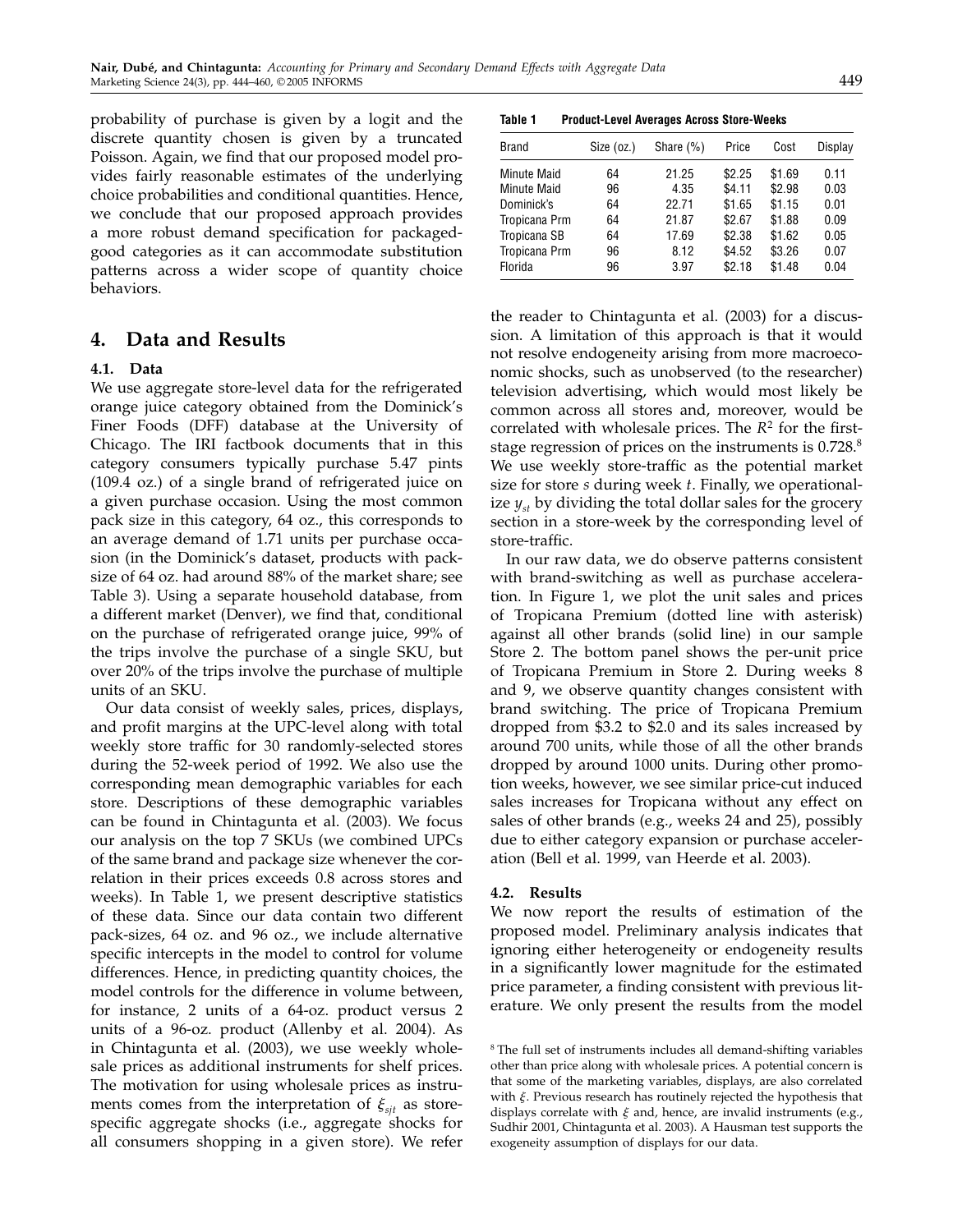probability of purchase is given by a logit and the discrete quantity chosen is given by a truncated Poisson. Again, we find that our proposed model provides fairly reasonable estimates of the underlying choice probabilities and conditional quantities. Hence, we conclude that our proposed approach provides a more robust demand specification for packagedgood categories as it can accommodate substitution patterns across a wider scope of quantity choice behaviors.

# 4. Data and Results

## 4.1. Data

We use aggregate store-level data for the refrigerated orange juice category obtained from the Dominick's Finer Foods (DFF) database at the University of Chicago. The IRI factbook documents that in this category consumers typically purchase 5.47 pints (109.4 oz.) of a single brand of refrigerated juice on a given purchase occasion. Using the most common pack size in this category, 64 oz., this corresponds to an average demand of 1.71 units per purchase occasion (in the Dominick's dataset, products with packsize of 64 oz. had around 88% of the market share; see Table 3). Using a separate household database, from a different market (Denver), we find that, conditional on the purchase of refrigerated orange juice, 99% of the trips involve the purchase of a single SKU, but over 20% of the trips involve the purchase of multiple units of an SKU.

Our data consist of weekly sales, prices, displays, and profit margins at the UPC-level along with total weekly store traffic for 30 randomly-selected stores during the 52-week period of 1992. We also use the corresponding mean demographic variables for each store. Descriptions of these demographic variables can be found in Chintagunta et al. (2003). We focus our analysis on the top 7 SKUs (we combined UPCs of the same brand and package size whenever the correlation in their prices exceeds 0.8 across stores and weeks). In Table 1, we present descriptive statistics of these data. Since our data contain two different pack-sizes, 64 oz. and 96 oz., we include alternative specific intercepts in the model to control for volume differences. Hence, in predicting quantity choices, the model controls for the difference in volume between, for instance, 2 units of a 64-oz. product versus 2 units of a 96-oz. product (Allenby et al. 2004). As in Chintagunta et al. (2003), we use weekly wholesale prices as additional instruments for shelf prices. The motivation for using wholesale prices as instruments comes from the interpretation of  $\xi_{\text{sit}}$  as storespecific aggregate shocks (i.e., aggregate shocks for all consumers shopping in a given store). We refer

Table 1 Product-Level Averages Across Store-Weeks

| <b>Brand</b>  | Size (oz.) | Share $(\%)$ | Price  | Cost   | Display |
|---------------|------------|--------------|--------|--------|---------|
| Minute Maid   | 64         | 21.25        | \$2.25 | \$1.69 | 0.11    |
| Minute Maid   | 96         | 4.35         | \$4.11 | \$2.98 | 0.03    |
| Dominick's    | 64         | 22.71        | \$1.65 | \$1.15 | 0.01    |
| Tropicana Prm | 64         | 21.87        | \$2.67 | \$1.88 | 0.09    |
| Tropicana SB  | 64         | 17.69        | \$2.38 | \$1.62 | 0.05    |
| Tropicana Prm | 96         | 8.12         | \$4.52 | \$3.26 | 0.07    |
| Florida       | 96         | 3.97         | \$2.18 | \$1.48 | 0.04    |

the reader to Chintagunta et al. (2003) for a discussion. A limitation of this approach is that it would not resolve endogeneity arising from more macroeconomic shocks, such as unobserved (to the researcher) television advertising, which would most likely be common across all stores and, moreover, would be correlated with wholesale prices. The  $R<sup>2</sup>$  for the firststage regression of prices on the instruments is 0.728.<sup>8</sup> We use weekly store-traffic as the potential market size for store s during week t. Finally, we operationalize  $y_{st}$  by dividing the total dollar sales for the grocery section in a store-week by the corresponding level of store-traffic.

In our raw data, we do observe patterns consistent with brand-switching as well as purchase acceleration. In Figure 1, we plot the unit sales and prices of Tropicana Premium (dotted line with asterisk) against all other brands (solid line) in our sample Store 2. The bottom panel shows the per-unit price of Tropicana Premium in Store 2. During weeks 8 and 9, we observe quantity changes consistent with brand switching. The price of Tropicana Premium dropped from \$3.2 to \$2.0 and its sales increased by around 700 units, while those of all the other brands dropped by around 1000 units. During other promotion weeks, however, we see similar price-cut induced sales increases for Tropicana without any effect on sales of other brands (e.g., weeks 24 and 25), possibly due to either category expansion or purchase acceleration (Bell et al. 1999, van Heerde et al. 2003).

## 4.2. Results

We now report the results of estimation of the proposed model. Preliminary analysis indicates that ignoring either heterogeneity or endogeneity results in a significantly lower magnitude for the estimated price parameter, a finding consistent with previous literature. We only present the results from the model

<sup>8</sup> The full set of instruments includes all demand-shifting variables other than price along with wholesale prices. A potential concern is that some of the marketing variables, displays, are also correlated with  $\xi$ . Previous research has routinely rejected the hypothesis that displays correlate with  $\xi$  and, hence, are invalid instruments (e.g., Sudhir 2001, Chintagunta et al. 2003). A Hausman test supports the exogeneity assumption of displays for our data.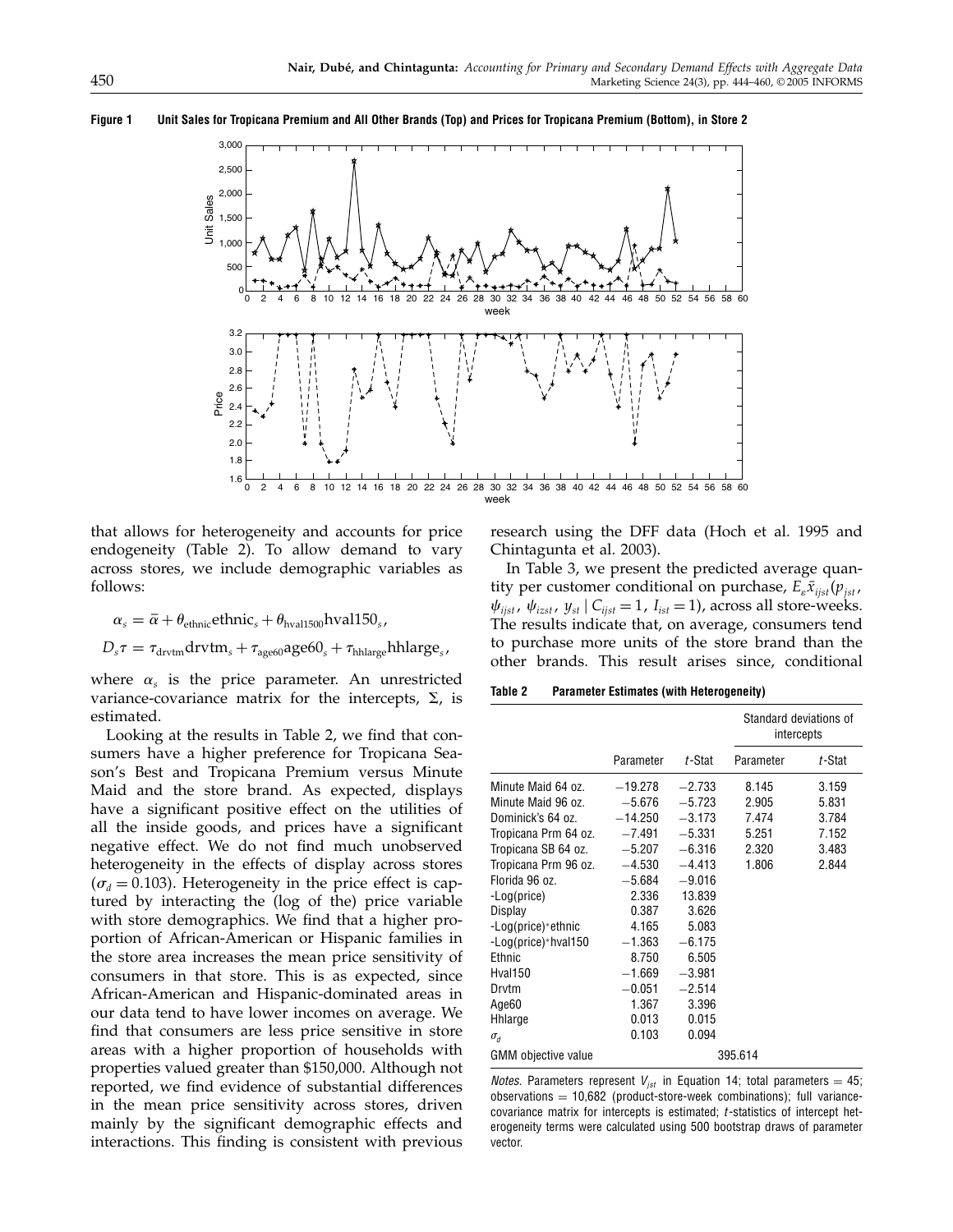



that allows for heterogeneity and accounts for price endogeneity (Table 2). To allow demand to vary across stores, we include demographic variables as follows:

$$
\alpha_s = \bar{\alpha} + \theta_{\text{ethnic}} \text{ethnic}_s + \theta_{\text{hval1500}} \text{hval150}_s,
$$
  

$$
D_s \tau = \tau_{\text{drvtm}} \text{drvtm}_s + \tau_{\text{age60}} \text{age60}_s + \tau_{\text{hhlarge}} \text{hhlarge}_s,
$$

where  $\alpha_s$  is the price parameter. An unrestricted variance-covariance matrix for the intercepts,  $\Sigma$ , is estimated.

Looking at the results in Table 2, we find that consumers have a higher preference for Tropicana Season's Best and Tropicana Premium versus Minute Maid and the store brand. As expected, displays have a significant positive effect on the utilities of all the inside goods, and prices have a significant negative effect. We do not find much unobserved heterogeneity in the effects of display across stores  $(\sigma_d = 0.103)$ . Heterogeneity in the price effect is captured by interacting the (log of the) price variable with store demographics. We find that a higher proportion of African-American or Hispanic families in the store area increases the mean price sensitivity of consumers in that store. This is as expected, since African-American and Hispanic-dominated areas in our data tend to have lower incomes on average. We find that consumers are less price sensitive in store areas with a higher proportion of households with properties valued greater than \$150,000. Although not reported, we find evidence of substantial differences in the mean price sensitivity across stores, driven mainly by the significant demographic effects and interactions. This finding is consistent with previous

research using the DFF data (Hoch et al. 1995 and Chintagunta et al. 2003).

In Table 3, we present the predicted average quantity per customer conditional on purchase,  $E_{\varepsilon} \bar{x}_{i j s t} (p_{j s t},$  $\psi_{ijst}$ ,  $\psi_{izst}$ ,  $y_{st}$  |  $C_{ijst} = 1$ ,  $I_{ist} = 1$ ), across all store-weeks. The results indicate that, on average, consumers tend to purchase more units of the store brand than the other brands. This result arises since, conditional

Table 2 Parameter Estimates (with Heterogeneity)

|                            |           |          | Standard deviations of<br>intercepts |        |  |  |
|----------------------------|-----------|----------|--------------------------------------|--------|--|--|
|                            | Parameter | t-Stat   | Parameter                            | t-Stat |  |  |
| Minute Maid 64 oz.         | $-19.278$ | $-2.733$ | 8.145                                | 3.159  |  |  |
| Minute Maid 96 oz.         | $-5.676$  | $-5.723$ | 2.905                                | 5.831  |  |  |
| Dominick's 64 oz.          | $-14.250$ | $-3.173$ | 7.474                                | 3.784  |  |  |
| Tropicana Prm 64 oz.       | $-7.491$  | $-5.331$ | 5.251                                | 7.152  |  |  |
| Tropicana SB 64 oz.        | $-5.207$  | $-6.316$ | 2.320                                | 3.483  |  |  |
| Tropicana Prm 96 oz.       | $-4.530$  | $-4.413$ | 1.806                                | 2.844  |  |  |
| Florida 96 oz.             | $-5.684$  | $-9.016$ |                                      |        |  |  |
| -Log(price)                | 2.336     | 13.839   |                                      |        |  |  |
| Display                    | 0.387     | 3.626    |                                      |        |  |  |
| -Log(price)*ethnic         | 4.165     | 5.083    |                                      |        |  |  |
| -Log(price)*hval150        | $-1.363$  | $-6.175$ |                                      |        |  |  |
| Ethnic                     | 8.750     | 6.505    |                                      |        |  |  |
| Hval150                    | $-1.669$  | $-3.981$ |                                      |        |  |  |
| Drvtm                      | $-0.051$  | $-2.514$ |                                      |        |  |  |
| Age60                      | 1.367     | 3.396    |                                      |        |  |  |
| Hhlarge                    | 0.013     | 0.015    |                                      |        |  |  |
| $\sigma_d$                 | 0.103     | 0.094    |                                      |        |  |  |
| <b>GMM</b> objective value |           |          | 395.614                              |        |  |  |

*Notes.* Parameters represent  $V_{jst}$  in Equation 14; total parameters = 45;  $observation = 10,682$  (product-store-week combinations); full variancecovariance matrix for intercepts is estimated; t-statistics of intercept heterogeneity terms were calculated using 500 bootstrap draws of parameter vector.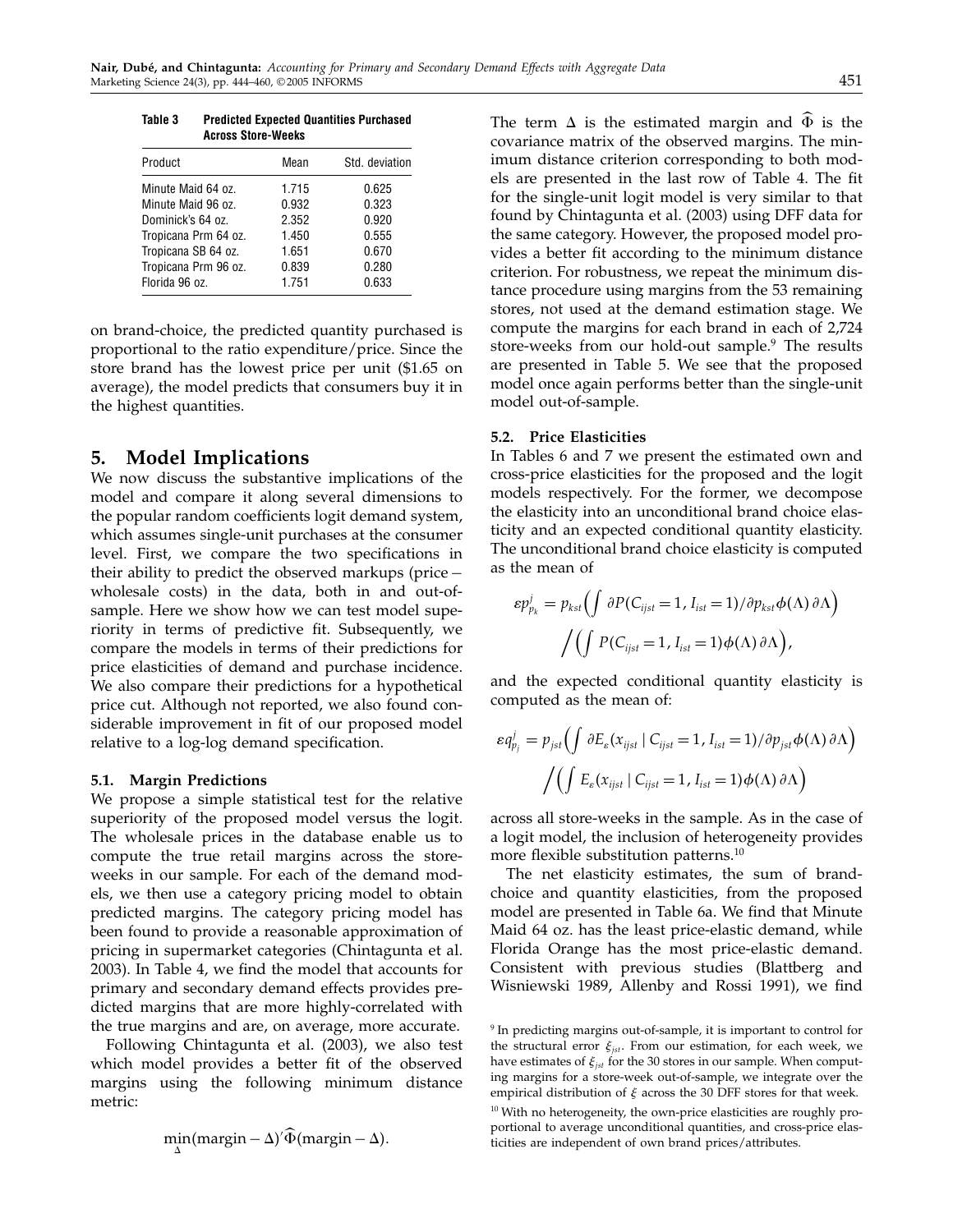| Table 3 | <b>Predicted Expected Quantities Purchased</b> |
|---------|------------------------------------------------|
|         | <b>Across Store-Weeks</b>                      |

| Product              | Mean  | Std. deviation |
|----------------------|-------|----------------|
| Minute Maid 64 oz.   | 1.715 | 0.625          |
| Minute Maid 96 oz.   | 0.932 | 0.323          |
| Dominick's 64 oz.    | 2.352 | 0.920          |
| Tropicana Prm 64 oz. | 1.450 | 0.555          |
| Tropicana SB 64 oz.  | 1.651 | 0.670          |
| Tropicana Prm 96 oz. | 0.839 | 0.280          |
| Florida 96 oz.       | 1.751 | 0.633          |

on brand-choice, the predicted quantity purchased is proportional to the ratio expenditure/price. Since the store brand has the lowest price per unit (\$1.65 on average), the model predicts that consumers buy it in the highest quantities.

# 5. Model Implications

We now discuss the substantive implications of the model and compare it along several dimensions to the popular random coefficients logit demand system, which assumes single-unit purchases at the consumer level. First, we compare the two specifications in their ability to predict the observed markups (price− wholesale costs) in the data, both in and out-ofsample. Here we show how we can test model superiority in terms of predictive fit. Subsequently, we compare the models in terms of their predictions for price elasticities of demand and purchase incidence. We also compare their predictions for a hypothetical price cut. Although not reported, we also found considerable improvement in fit of our proposed model relative to a log-log demand specification.

## 5.1. Margin Predictions

We propose a simple statistical test for the relative superiority of the proposed model versus the logit. The wholesale prices in the database enable us to compute the true retail margins across the storeweeks in our sample. For each of the demand models, we then use a category pricing model to obtain predicted margins. The category pricing model has been found to provide a reasonable approximation of pricing in supermarket categories (Chintagunta et al. 2003). In Table 4, we find the model that accounts for primary and secondary demand effects provides predicted margins that are more highly-correlated with the true margins and are, on average, more accurate.

Following Chintagunta et al. (2003), we also test which model provides a better fit of the observed margins using the following minimum distance metric:

$$
\min_{\Delta}(\text{margin} - \Delta)'\widehat{\Phi}(\text{margin} - \Delta).
$$

The term  $\Delta$  is the estimated margin and  $\widehat{\Phi}$  is the covariance matrix of the observed margins. The minimum distance criterion corresponding to both models are presented in the last row of Table 4. The fit for the single-unit logit model is very similar to that found by Chintagunta et al. (2003) using DFF data for the same category. However, the proposed model provides a better fit according to the minimum distance criterion. For robustness, we repeat the minimum distance procedure using margins from the 53 remaining stores, not used at the demand estimation stage. We compute the margins for each brand in each of 2,724 store-weeks from our hold-out sample.<sup>9</sup> The results are presented in Table 5. We see that the proposed model once again performs better than the single-unit model out-of-sample.

# 5.2. Price Elasticities

In Tables 6 and 7 we present the estimated own and cross-price elasticities for the proposed and the logit models respectively. For the former, we decompose the elasticity into an unconditional brand choice elasticity and an expected conditional quantity elasticity. The unconditional brand choice elasticity is computed as the mean of

$$
\varepsilon p_{p_k}^j = p_{kst} \Big( \int \partial P(C_{ijst} = 1, I_{ist} = 1) / \partial p_{kst} \phi(\Lambda) \partial \Lambda \Big) \n\Big/ \Big( \int P(C_{ijst} = 1, I_{ist} = 1) \phi(\Lambda) \partial \Lambda \Big),
$$

and the expected conditional quantity elasticity is computed as the mean of:

$$
\varepsilon q_{p_j}^j = p_{jst} \Big( \int \partial E_{\varepsilon} (x_{ijst} \mid C_{ijst} = 1, I_{ist} = 1) / \partial p_{jst} \phi(\Lambda) \partial \Lambda \Big)
$$

$$
/ \Big( \int E_{\varepsilon} (x_{ijst} \mid C_{ijst} = 1, I_{ist} = 1) \phi(\Lambda) \partial \Lambda \Big)
$$

across all store-weeks in the sample. As in the case of a logit model, the inclusion of heterogeneity provides more flexible substitution patterns.<sup>10</sup>

The net elasticity estimates, the sum of brandchoice and quantity elasticities, from the proposed model are presented in Table 6a. We find that Minute Maid 64 oz. has the least price-elastic demand, while Florida Orange has the most price-elastic demand. Consistent with previous studies (Blattberg and Wisniewski 1989, Allenby and Rossi 1991), we find

<sup>&</sup>lt;sup>9</sup> In predicting margins out-of-sample, it is important to control for the structural error  $\xi_{ist}$ . From our estimation, for each week, we have estimates of  $\xi_{jst}$  for the 30 stores in our sample. When computing margins for a store-week out-of-sample, we integrate over the empirical distribution of  $\xi$  across the 30 DFF stores for that week.

 $10$  With no heterogeneity, the own-price elasticities are roughly proportional to average unconditional quantities, and cross-price elasticities are independent of own brand prices/attributes.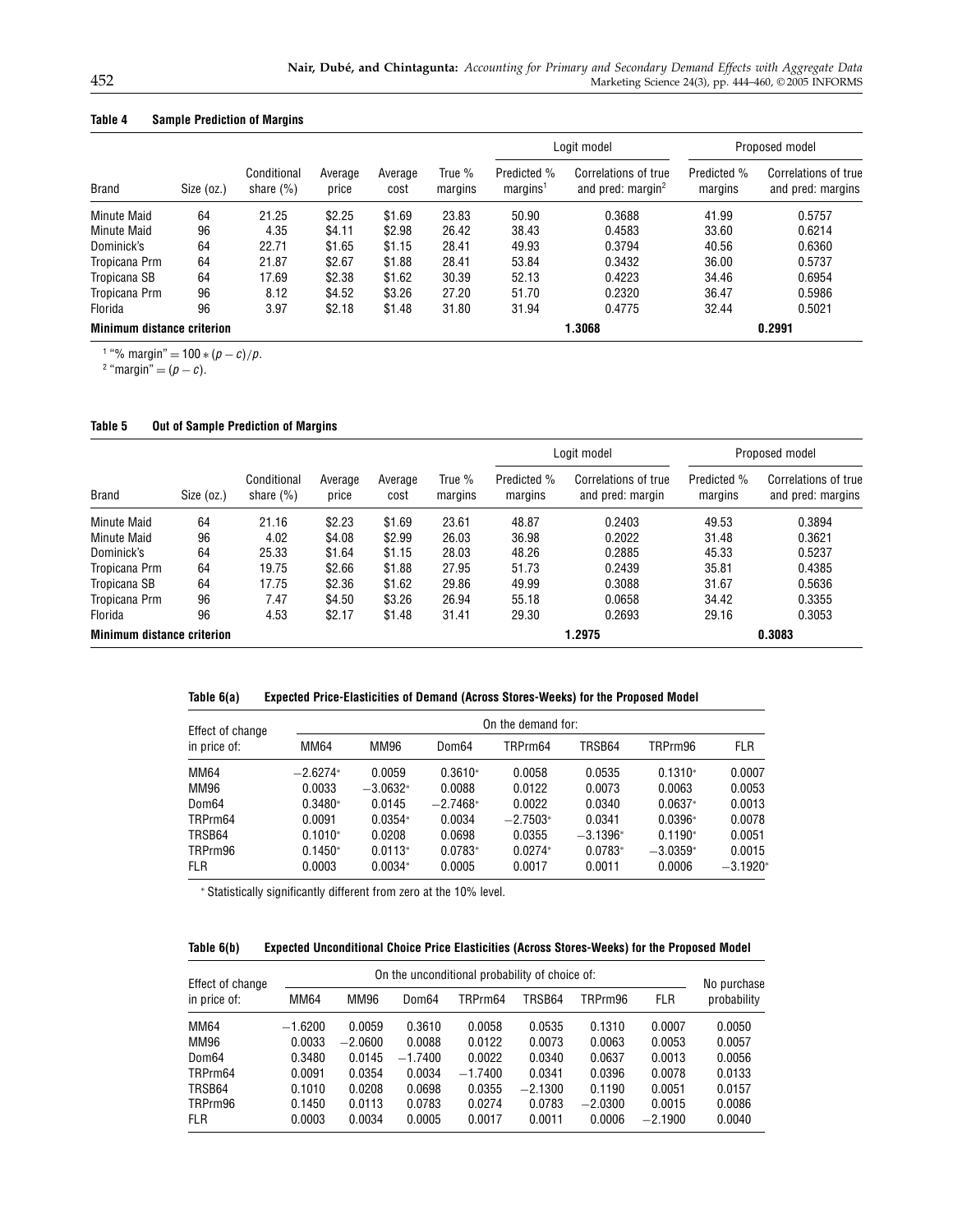# Table 4 Sample Prediction of Margins

| Brand                             | Size (oz.) |                             | Average<br>price | Average<br>cost | True %<br>margins |                                     | Logit model                                           | Proposed model         |                                           |  |
|-----------------------------------|------------|-----------------------------|------------------|-----------------|-------------------|-------------------------------------|-------------------------------------------------------|------------------------|-------------------------------------------|--|
|                                   |            | Conditional<br>share $(\%)$ |                  |                 |                   | Predicted %<br>margins <sup>1</sup> | Correlations of true<br>and pred: margin <sup>2</sup> | Predicted %<br>margins | Correlations of true<br>and pred: margins |  |
| <b>Minute Maid</b>                | 64         | 21.25                       | \$2.25           | \$1.69          | 23.83             | 50.90                               | 0.3688                                                | 41.99                  | 0.5757                                    |  |
| Minute Maid                       | 96         | 4.35                        | \$4.11           | \$2.98          | 26.42             | 38.43                               | 0.4583                                                | 33.60                  | 0.6214                                    |  |
| Dominick's                        | 64         | 22.71                       | \$1.65           | \$1.15          | 28.41             | 49.93                               | 0.3794                                                | 40.56                  | 0.6360                                    |  |
| Tropicana Prm                     | 64         | 21.87                       | \$2.67           | \$1.88          | 28.41             | 53.84                               | 0.3432                                                | 36.00                  | 0.5737                                    |  |
| Tropicana SB                      | 64         | 17.69                       | \$2.38           | \$1.62          | 30.39             | 52.13                               | 0.4223                                                | 34.46                  | 0.6954                                    |  |
| Tropicana Prm                     | 96         | 8.12                        | \$4.52           | \$3.26          | 27.20             | 51.70                               | 0.2320                                                | 36.47                  | 0.5986                                    |  |
| Florida                           | 96         | 3.97                        | \$2.18           | \$1.48          | 31.80             | 31.94                               | 0.4775                                                | 32.44                  | 0.5021                                    |  |
| <b>Minimum distance criterion</b> |            |                             |                  |                 |                   |                                     | 1.3068                                                | 0.2991                 |                                           |  |

<sup>1</sup> "% margin" = 100 \*  $(p - c)/p$ .<br><sup>2</sup> "margin" =  $(p - c)$ .

# Table 5 Out of Sample Prediction of Margins

| <b>Brand</b>               |            | Conditional<br>share $(\%)$ | Average<br>price | Average<br>cost | True %<br>margins |                        | Logit model                              | Proposed model         |                                           |  |
|----------------------------|------------|-----------------------------|------------------|-----------------|-------------------|------------------------|------------------------------------------|------------------------|-------------------------------------------|--|
|                            | Size (oz.) |                             |                  |                 |                   | Predicted %<br>margins | Correlations of true<br>and pred: margin | Predicted %<br>margins | Correlations of true<br>and pred: margins |  |
| <b>Minute Maid</b>         | 64         | 21.16                       | \$2.23           | \$1.69          | 23.61             | 48.87                  | 0.2403                                   | 49.53                  | 0.3894                                    |  |
| Minute Maid                | 96         | 4.02                        | \$4.08           | \$2.99          | 26.03             | 36.98                  | 0.2022                                   | 31.48                  | 0.3621                                    |  |
| Dominick's                 | 64         | 25.33                       | \$1.64           | \$1.15          | 28.03             | 48.26                  | 0.2885                                   | 45.33                  | 0.5237                                    |  |
| Tropicana Prm              | 64         | 19.75                       | \$2.66           | \$1.88          | 27.95             | 51.73                  | 0.2439                                   | 35.81                  | 0.4385                                    |  |
| Tropicana SB               | 64         | 17.75                       | \$2.36           | \$1.62          | 29.86             | 49.99                  | 0.3088                                   | 31.67                  | 0.5636                                    |  |
| Tropicana Prm              | 96         | 7.47                        | \$4.50           | \$3.26          | 26.94             | 55.18                  | 0.0658                                   | 34.42                  | 0.3355                                    |  |
| Florida                    | 96         | 4.53                        | \$2.17           | \$1.48          | 31.41             | 29.30                  | 0.2693                                   | 29.16                  | 0.3053                                    |  |
| Minimum distance criterion |            |                             |                  |                 |                   |                        | 1.2975                                   | 0.3083                 |                                           |  |

# Table 6(a) Expected Price-Elasticities of Demand (Across Stores-Weeks) for the Proposed Model

| Effect of change<br>in price of: |             | On the demand for: |                   |            |            |            |            |  |  |  |  |
|----------------------------------|-------------|--------------------|-------------------|------------|------------|------------|------------|--|--|--|--|
|                                  | <b>MM64</b> | MM96               | Dom <sub>64</sub> | TRPrm64    | TRSB64     | TRPrm96    | FLR        |  |  |  |  |
| <b>MM64</b>                      | $-2.6274*$  | 0.0059             | $0.3610*$         | 0.0058     | 0.0535     | $0.1310*$  | 0.0007     |  |  |  |  |
| <b>MM96</b>                      | 0.0033      | $-3.0632*$         | 0.0088            | 0.0122     | 0.0073     | 0.0063     | 0.0053     |  |  |  |  |
| Dom <sub>64</sub>                | $0.3480*$   | 0.0145             | $-2.7468*$        | 0.0022     | 0.0340     | $0.0637*$  | 0.0013     |  |  |  |  |
| TRPrm64                          | 0.0091      | $0.0354*$          | 0.0034            | $-2.7503*$ | 0.0341     | $0.0396*$  | 0.0078     |  |  |  |  |
| TRSB64                           | $0.1010*$   | 0.0208             | 0.0698            | 0.0355     | $-3.1396*$ | $0.1190*$  | 0.0051     |  |  |  |  |
| TRPrm96                          | $0.1450*$   | $0.0113*$          | $0.0783*$         | $0.0274*$  | $0.0783*$  | $-3.0359*$ | 0.0015     |  |  |  |  |
| <b>FLR</b>                       | 0.0003      | $0.0034*$          | 0.0005            | 0.0017     | 0.0011     | 0.0006     | $-3.1920*$ |  |  |  |  |

<sup>∗</sup> Statistically significantly different from zero at the 10% level.

Table 6(b) Expected Unconditional Choice Price Elasticities (Across Stores-Weeks) for the Proposed Model

| Effect of change<br>in price of: |           | On the unconditional probability of choice of: |           |           |           |           |           |                            |  |  |
|----------------------------------|-----------|------------------------------------------------|-----------|-----------|-----------|-----------|-----------|----------------------------|--|--|
|                                  | MM64      | MM96                                           | Dom64     | TRPrm64   | TRSB64    | TRPrm96   | FLR       | No purchase<br>probability |  |  |
| <b>MM64</b>                      | $-1.6200$ | 0.0059                                         | 0.3610    | 0.0058    | 0.0535    | 0.1310    | 0.0007    | 0.0050                     |  |  |
| MM96                             | 0.0033    | $-2.0600$                                      | 0.0088    | 0.0122    | 0.0073    | 0.0063    | 0.0053    | 0.0057                     |  |  |
| Dom64                            | 0.3480    | 0.0145                                         | $-1.7400$ | 0.0022    | 0.0340    | 0.0637    | 0.0013    | 0.0056                     |  |  |
| TRPrm64                          | 0.0091    | 0.0354                                         | 0.0034    | $-1.7400$ | 0.0341    | 0.0396    | 0.0078    | 0.0133                     |  |  |
| TRSB64                           | 0.1010    | 0.0208                                         | 0.0698    | 0.0355    | $-2.1300$ | 0.1190    | 0.0051    | 0.0157                     |  |  |
| TRPrm96                          | 0.1450    | 0.0113                                         | 0.0783    | 0.0274    | 0.0783    | $-2.0300$ | 0.0015    | 0.0086                     |  |  |
| FLR                              | 0.0003    | 0.0034                                         | 0.0005    | 0.0017    | 0.0011    | 0.0006    | $-2.1900$ | 0.0040                     |  |  |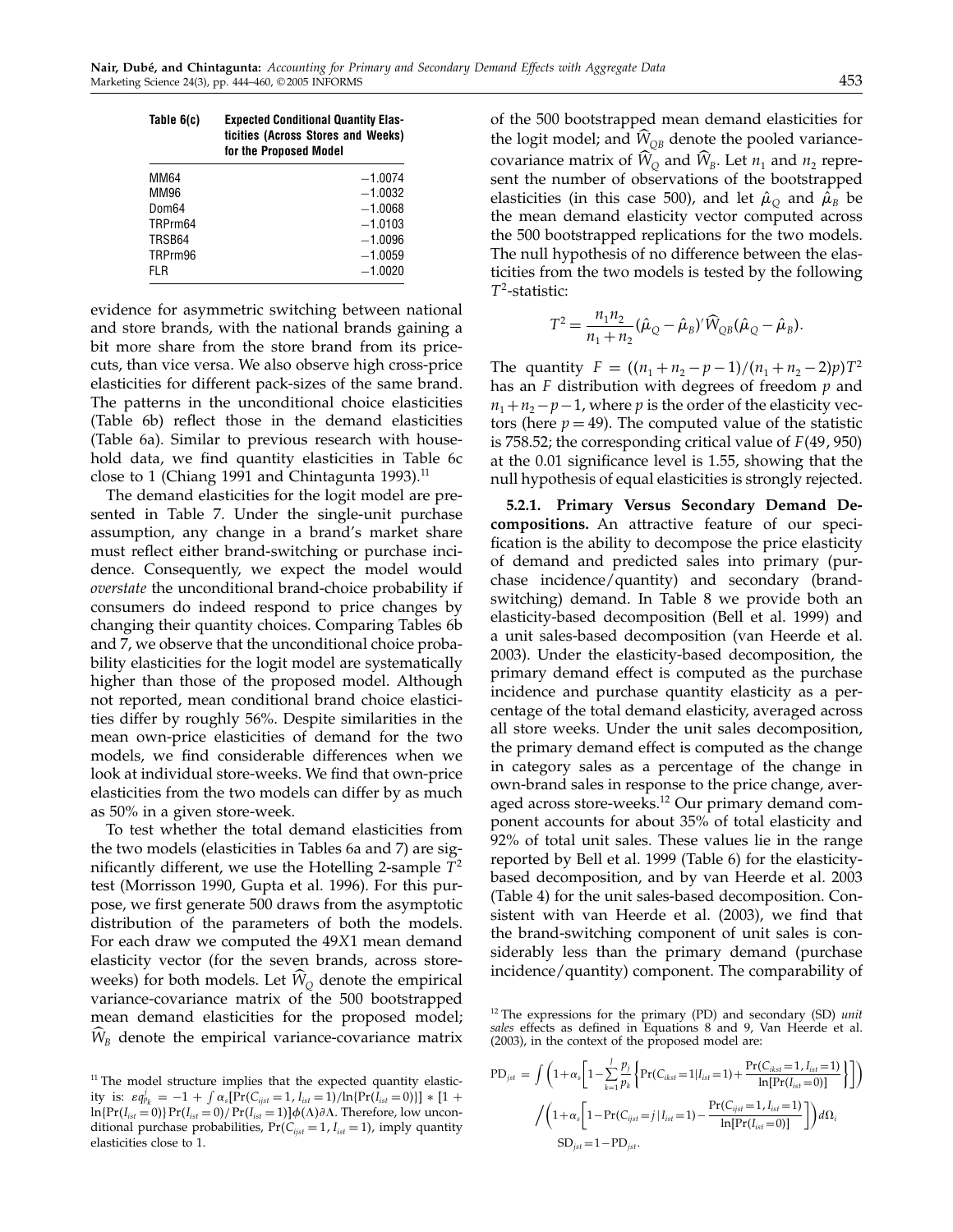| <b>Expected Conditional Quantity Elas-</b><br>ticities (Across Stores and Weeks)<br>for the Proposed Model |
|------------------------------------------------------------------------------------------------------------|
| $-1.0074$                                                                                                  |
| $-1.0032$                                                                                                  |
| $-1.0068$                                                                                                  |
| $-1.0103$                                                                                                  |
| $-1.0096$                                                                                                  |
| $-1.0059$                                                                                                  |
| $-1.0020$                                                                                                  |
|                                                                                                            |

evidence for asymmetric switching between national and store brands, with the national brands gaining a bit more share from the store brand from its pricecuts, than vice versa. We also observe high cross-price elasticities for different pack-sizes of the same brand. The patterns in the unconditional choice elasticities (Table 6b) reflect those in the demand elasticities (Table 6a). Similar to previous research with household data, we find quantity elasticities in Table 6c close to 1 (Chiang 1991 and Chintagunta 1993).<sup>11</sup>

The demand elasticities for the logit model are presented in Table 7. Under the single-unit purchase assumption, any change in a brand's market share must reflect either brand-switching or purchase incidence. Consequently, we expect the model would overstate the unconditional brand-choice probability if consumers do indeed respond to price changes by changing their quantity choices. Comparing Tables 6b and 7, we observe that the unconditional choice probability elasticities for the logit model are systematically higher than those of the proposed model. Although not reported, mean conditional brand choice elasticities differ by roughly 56%. Despite similarities in the mean own-price elasticities of demand for the two models, we find considerable differences when we look at individual store-weeks. We find that own-price elasticities from the two models can differ by as much as 50% in a given store-week.

To test whether the total demand elasticities from the two models (elasticities in Tables 6a and 7) are significantly different, we use the Hotelling 2-sample  $T^2$ test (Morrisson 1990, Gupta et al. 1996). For this purpose, we first generate 500 draws from the asymptotic distribution of the parameters of both the models. For each draw we computed the 49X1 mean demand elasticity vector (for the seven brands, across storeweeks) for both models. Let  $W_Q$  denote the empirical variance-covariance matrix of the 500 bootstrapped mean demand elasticities for the proposed model;  $W_B$  denote the empirical variance-covariance matrix

of the 500 bootstrapped mean demand elasticities for the logit model; and  $W_{QB}$  denote the pooled variancecovariance matrix of  $W_Q$  and  $W_B$ . Let  $n_1$  and  $n_2$  represent the number of observations of the bootstrapped elasticities (in this case 500), and let  $\hat{\mu}_0$  and  $\hat{\mu}_B$  be the mean demand elasticity vector computed across the 500 bootstrapped replications for the two models. The null hypothesis of no difference between the elasticities from the two models is tested by the following  $T^2$ -statistic:

$$
T^{2} = \frac{n_{1}n_{2}}{n_{1}+n_{2}}(\hat{\mu}_{Q}-\hat{\mu}_{B})'\widehat{W}_{QB}(\hat{\mu}_{Q}-\hat{\mu}_{B}).
$$

The quantity  $F = ((n_1 + n_2 - p - 1)/(n_1 + n_2 - 2)p)T^2$ has an  $F$  distribution with degrees of freedom  $p$  and  $n_1+n_2-p-1$ , where p is the order of the elasticity vectors (here  $p = 49$ ). The computed value of the statistic is 758.52; the corresponding critical value of  $F(49, 950)$ at the 0.01 significance level is 1.55, showing that the null hypothesis of equal elasticities is strongly rejected.

5.2.1. Primary Versus Secondary Demand Decompositions. An attractive feature of our specification is the ability to decompose the price elasticity of demand and predicted sales into primary (purchase incidence/quantity) and secondary (brandswitching) demand. In Table 8 we provide both an elasticity-based decomposition (Bell et al. 1999) and a unit sales-based decomposition (van Heerde et al. 2003). Under the elasticity-based decomposition, the primary demand effect is computed as the purchase incidence and purchase quantity elasticity as a percentage of the total demand elasticity, averaged across all store weeks. Under the unit sales decomposition, the primary demand effect is computed as the change in category sales as a percentage of the change in own-brand sales in response to the price change, averaged across store-weeks.<sup>12</sup> Our primary demand component accounts for about 35% of total elasticity and 92% of total unit sales. These values lie in the range reported by Bell et al. 1999 (Table 6) for the elasticitybased decomposition, and by van Heerde et al. 2003 (Table 4) for the unit sales-based decomposition. Consistent with van Heerde et al. (2003), we find that the brand-switching component of unit sales is considerably less than the primary demand (purchase incidence/quantity) component. The comparability of

$$
PD_{jst} = \int \left(1 + \alpha_s \left[1 - \sum_{k=1}^J \frac{p_j}{p_k} \left\{ \Pr(C_{ikst} = 1 | I_{ist} = 1) + \frac{\Pr(C_{ikst} = 1, I_{ist} = 1)}{\ln[\Pr(I_{ist} = 0)]} \right\} \right] \right)
$$

$$
\int \left(1 + \alpha_s \left[1 - \Pr(C_{ijst} = j | I_{ist} = 1) - \frac{\Pr(C_{ijst} = 1, I_{ist} = 1)}{\ln[\Pr(I_{ist} = 0)]} \right] \right) d\Omega_i
$$

$$
SD_{jst} = 1 - PD_{jst}.
$$

<sup>&</sup>lt;sup>11</sup> The model structure implies that the expected quantity elasticity is:  $\varepsilon q_{p_k}^j = -1 + \int \alpha_s [\Pr(C_{ijst} = 1, I_{ist} = 1)/\ln[\Pr(I_{ist} = 0)]] + [1 +$  $\ln\{\Pr(I_{ist} = 0)\}\Pr(I_{ist} = 0)/\Pr(I_{ist} = 1)]\phi(\Lambda)\partial\Lambda$ . Therefore, low unconditional purchase probabilities,  $Pr(C_{i,jst} = 1, I_{ist} = 1)$ , imply quantity elasticities close to 1.

 $12$  The expressions for the primary (PD) and secondary (SD) unit sales effects as defined in Equations 8 and 9, Van Heerde et al. (2003), in the context of the proposed model are: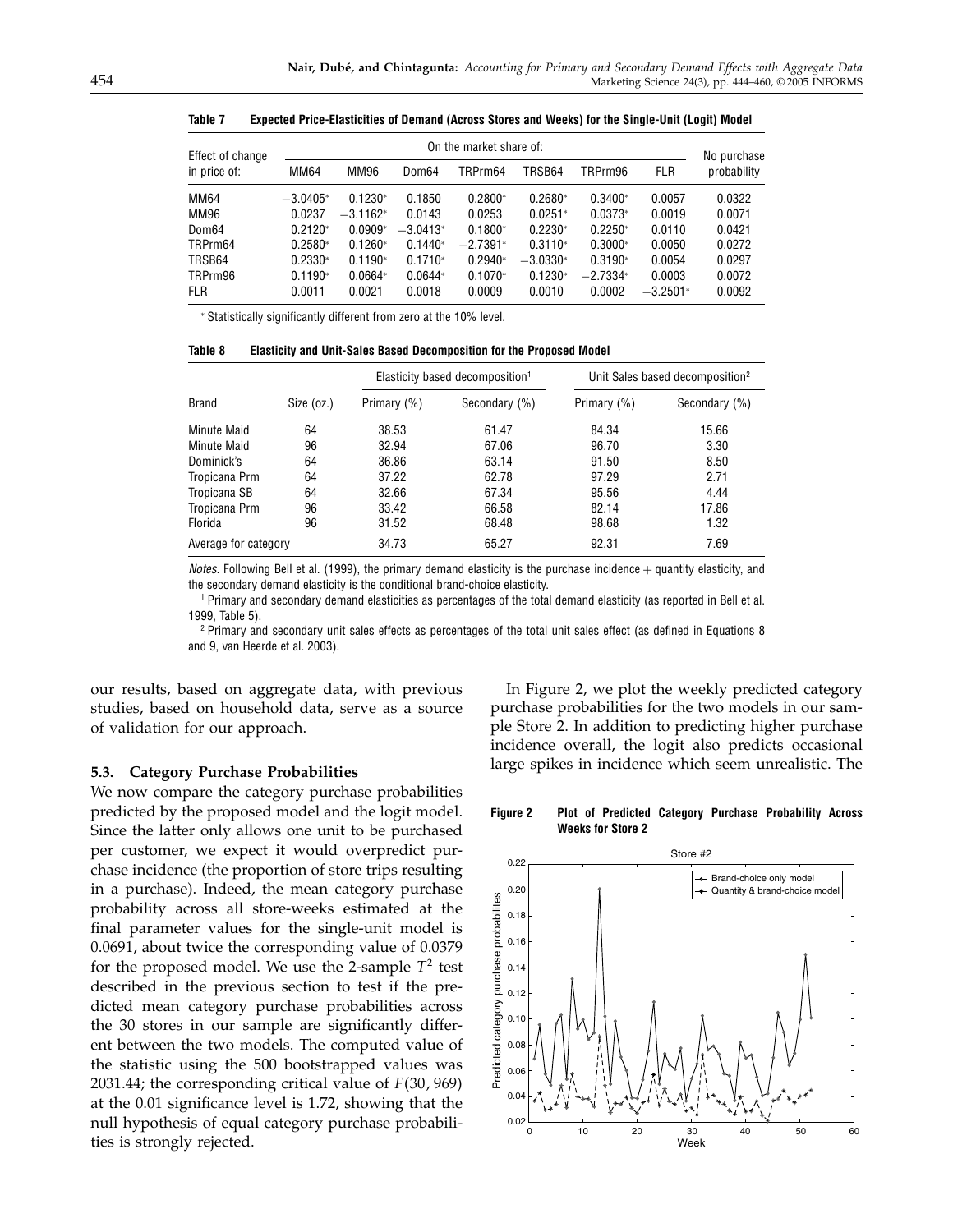| Effect of change |             | On the market share of: |            |            |            |            |            |                            |  |  |
|------------------|-------------|-------------------------|------------|------------|------------|------------|------------|----------------------------|--|--|
| in price of:     | <b>MM64</b> | <b>MM96</b>             | Dom64      | TRPrm64    | TRSB64     | TRPrm96    | <b>FLR</b> | No purchase<br>probability |  |  |
| MM64             | $-3.0405*$  | $0.1230*$               | 0.1850     | $0.2800*$  | $0.2680*$  | $0.3400*$  | 0.0057     | 0.0322                     |  |  |
| MM96             | 0.0237      | $-3.1162*$              | 0.0143     | 0.0253     | $0.0251*$  | $0.0373*$  | 0.0019     | 0.0071                     |  |  |
| Dom64            | $0.2120*$   | $0.0909*$               | $-3.0413*$ | $0.1800*$  | $0.2230*$  | $0.2250*$  | 0.0110     | 0.0421                     |  |  |
| TRPrm64          | $0.2580*$   | $0.1260*$               | $0.1440*$  | $-2.7391*$ | $0.3110*$  | $0.3000*$  | 0.0050     | 0.0272                     |  |  |
| TRSB64           | $0.2330*$   | $0.1190*$               | $0.1710*$  | $0.2940*$  | $-3.0330*$ | $0.3190*$  | 0.0054     | 0.0297                     |  |  |
| TRPrm96          | $0.1190*$   | $0.0664*$               | $0.0644*$  | $0.1070*$  | $0.1230*$  | $-2.7334*$ | 0.0003     | 0.0072                     |  |  |
| <b>FLR</b>       | 0.0011      | 0.0021                  | 0.0018     | 0.0009     | 0.0010     | 0.0002     | $-3.2501*$ | 0.0092                     |  |  |

Table 7 Expected Price-Elasticities of Demand (Across Stores and Weeks) for the Single-Unit (Logit) Model

<sup>∗</sup> Statistically significantly different from zero at the 10% level.

Table 8 Elasticity and Unit-Sales Based Decomposition for the Proposed Model

|                      |            |             | Elasticity based decomposition <sup>1</sup> | Unit Sales based decomposition <sup>2</sup> |               |  |
|----------------------|------------|-------------|---------------------------------------------|---------------------------------------------|---------------|--|
| <b>Brand</b>         | Size (oz.) | Primary (%) | Secondary (%)                               | Primary (%)                                 | Secondary (%) |  |
| Minute Maid          | 64         | 38.53       | 61.47                                       | 84.34                                       | 15.66         |  |
| Minute Maid          | 96         | 32.94       | 67.06                                       | 96.70                                       | 3.30          |  |
| Dominick's           | 64         | 36.86       | 63.14                                       | 91.50                                       | 8.50          |  |
| Tropicana Prm        | 64         | 37.22       | 62.78                                       | 97.29                                       | 2.71          |  |
| Tropicana SB         | 64         | 32.66       | 67.34                                       | 95.56                                       | 4.44          |  |
| Tropicana Prm        | 96         | 33.42       | 66.58                                       | 82.14                                       | 17.86         |  |
| Florida              | 96         | 31.52       | 68.48                                       | 98.68                                       | 1.32          |  |
| Average for category |            | 34.73       | 65.27                                       | 92.31                                       | 7.69          |  |

*Notes.* Following Bell et al. (1999), the primary demand elasticity is the purchase incidence  $+$  quantity elasticity, and the secondary demand elasticity is the conditional brand-choice elasticity.

<sup>1</sup> Primary and secondary demand elasticities as percentages of the total demand elasticity (as reported in Bell et al. 1999, Table 5).

<sup>2</sup> Primary and secondary unit sales effects as percentages of the total unit sales effect (as defined in Equations 8 and 9, van Heerde et al. 2003).

our results, based on aggregate data, with previous studies, based on household data, serve as a source of validation for our approach.

# 5.3. Category Purchase Probabilities

We now compare the category purchase probabilities predicted by the proposed model and the logit model. Since the latter only allows one unit to be purchased per customer, we expect it would overpredict purchase incidence (the proportion of store trips resulting in a purchase). Indeed, the mean category purchase probability across all store-weeks estimated at the final parameter values for the single-unit model is 0.0691, about twice the corresponding value of 0.0379 for the proposed model. We use the 2-sample  $T^2$  test described in the previous section to test if the predicted mean category purchase probabilities across the 30 stores in our sample are significantly different between the two models. The computed value of the statistic using the 500 bootstrapped values was 2031.44; the corresponding critical value of  $F(30, 969)$ at the 0.01 significance level is 1.72, showing that the null hypothesis of equal category purchase probabilities is strongly rejected.

In Figure 2, we plot the weekly predicted category purchase probabilities for the two models in our sample Store 2. In addition to predicting higher purchase incidence overall, the logit also predicts occasional large spikes in incidence which seem unrealistic. The

Figure 2 Plot of Predicted Category Purchase Probability Across Weeks for Store 2

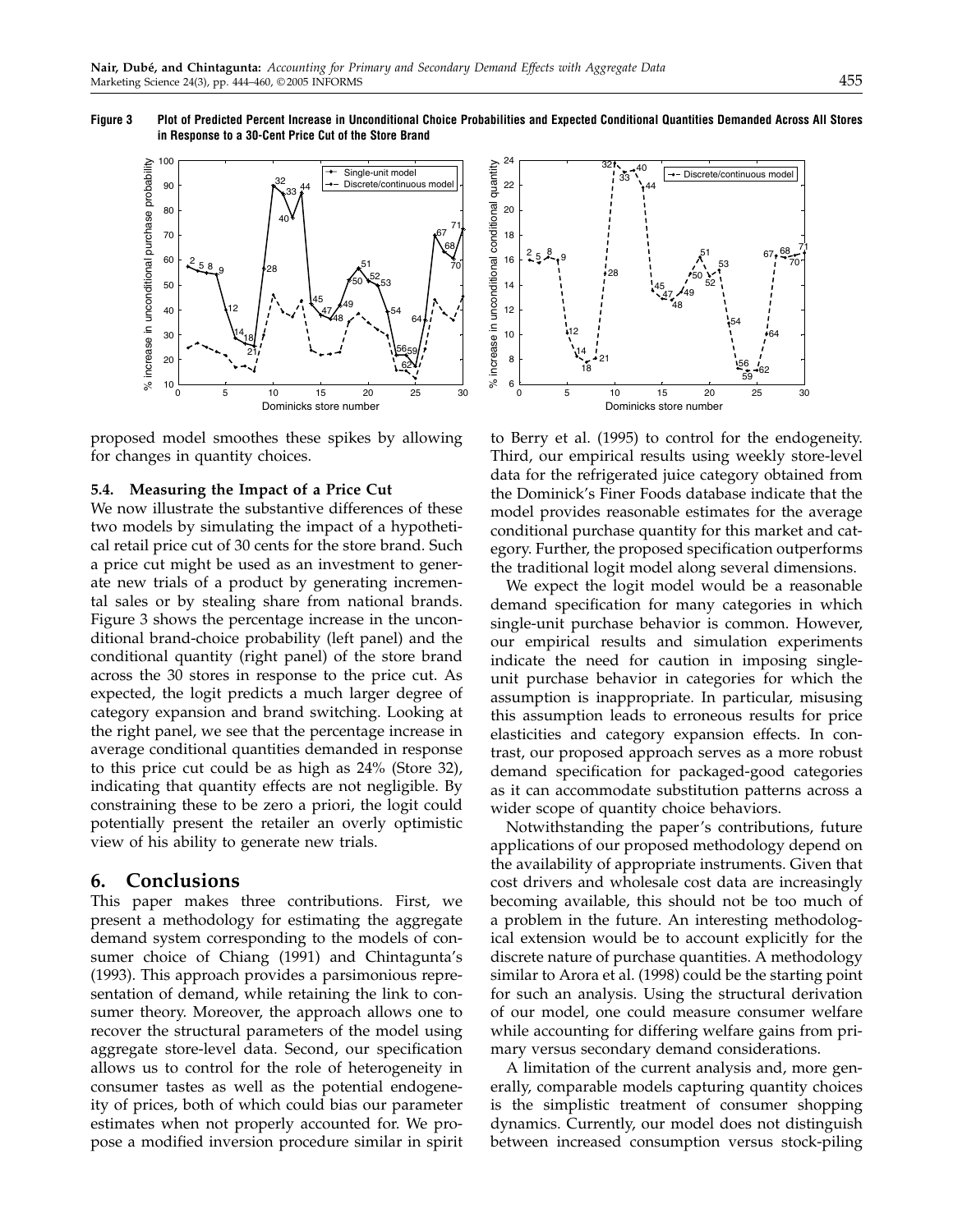Figure 3 Plot of Predicted Percent Increase in Unconditional Choice Probabilities and Expected Conditional Quantities Demanded Across All Stores in Response to a 30-Cent Price Cut of the Store Brand



proposed model smoothes these spikes by allowing for changes in quantity choices.

#### 5.4. Measuring the Impact of a Price Cut

We now illustrate the substantive differences of these two models by simulating the impact of a hypothetical retail price cut of 30 cents for the store brand. Such a price cut might be used as an investment to generate new trials of a product by generating incremental sales or by stealing share from national brands. Figure 3 shows the percentage increase in the unconditional brand-choice probability (left panel) and the conditional quantity (right panel) of the store brand across the 30 stores in response to the price cut. As expected, the logit predicts a much larger degree of category expansion and brand switching. Looking at the right panel, we see that the percentage increase in average conditional quantities demanded in response to this price cut could be as high as 24% (Store 32), indicating that quantity effects are not negligible. By constraining these to be zero a priori, the logit could potentially present the retailer an overly optimistic view of his ability to generate new trials.

## 6. Conclusions

This paper makes three contributions. First, we present a methodology for estimating the aggregate demand system corresponding to the models of consumer choice of Chiang (1991) and Chintagunta's (1993). This approach provides a parsimonious representation of demand, while retaining the link to consumer theory. Moreover, the approach allows one to recover the structural parameters of the model using aggregate store-level data. Second, our specification allows us to control for the role of heterogeneity in consumer tastes as well as the potential endogeneity of prices, both of which could bias our parameter estimates when not properly accounted for. We propose a modified inversion procedure similar in spirit



to Berry et al. (1995) to control for the endogeneity. Third, our empirical results using weekly store-level data for the refrigerated juice category obtained from the Dominick's Finer Foods database indicate that the model provides reasonable estimates for the average conditional purchase quantity for this market and category. Further, the proposed specification outperforms the traditional logit model along several dimensions.

We expect the logit model would be a reasonable demand specification for many categories in which single-unit purchase behavior is common. However, our empirical results and simulation experiments indicate the need for caution in imposing singleunit purchase behavior in categories for which the assumption is inappropriate. In particular, misusing this assumption leads to erroneous results for price elasticities and category expansion effects. In contrast, our proposed approach serves as a more robust demand specification for packaged-good categories as it can accommodate substitution patterns across a wider scope of quantity choice behaviors.

Notwithstanding the paper's contributions, future applications of our proposed methodology depend on the availability of appropriate instruments. Given that cost drivers and wholesale cost data are increasingly becoming available, this should not be too much of a problem in the future. An interesting methodological extension would be to account explicitly for the discrete nature of purchase quantities. A methodology similar to Arora et al. (1998) could be the starting point for such an analysis. Using the structural derivation of our model, one could measure consumer welfare while accounting for differing welfare gains from primary versus secondary demand considerations.

A limitation of the current analysis and, more generally, comparable models capturing quantity choices is the simplistic treatment of consumer shopping dynamics. Currently, our model does not distinguish between increased consumption versus stock-piling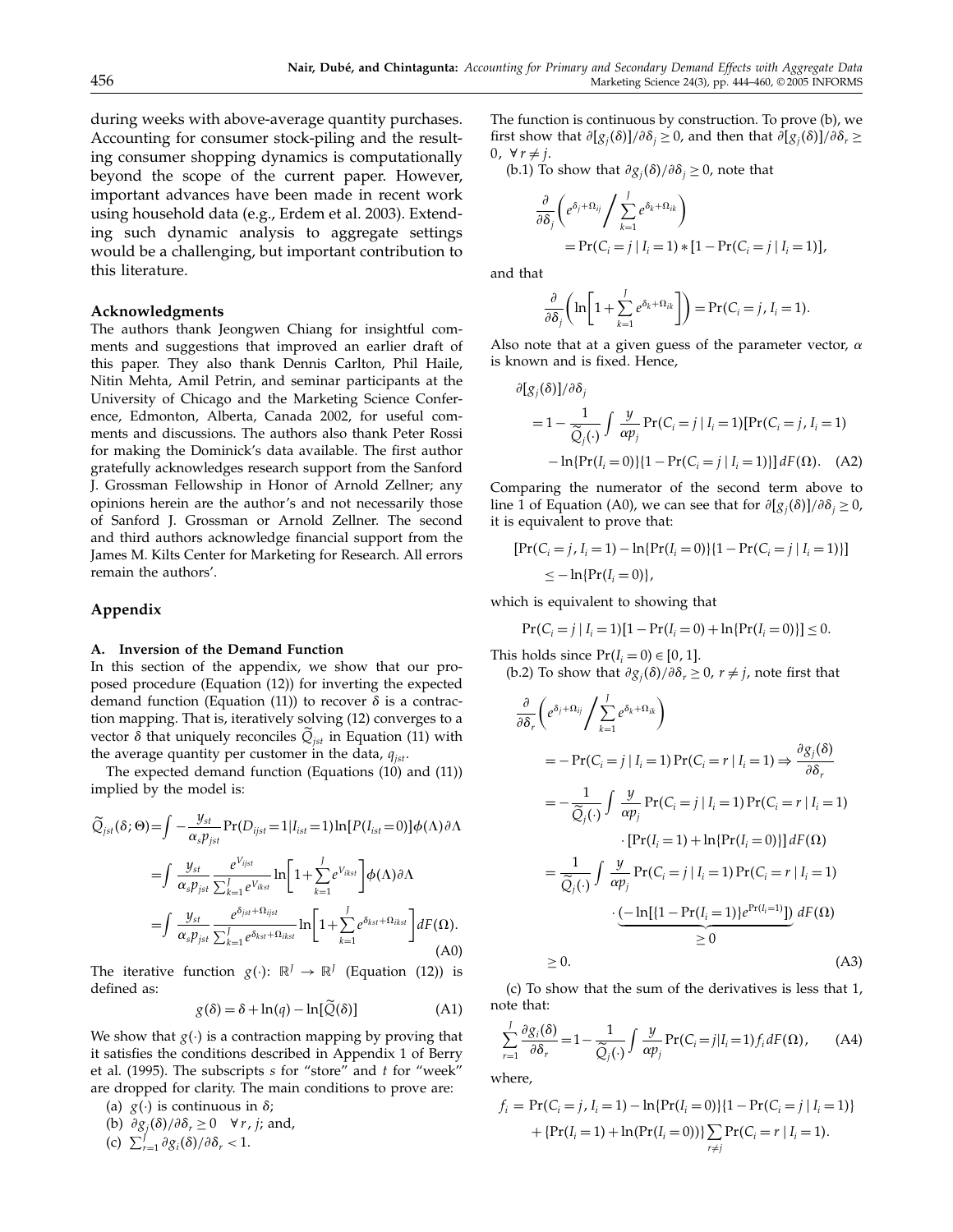during weeks with above-average quantity purchases. Accounting for consumer stock-piling and the resulting consumer shopping dynamics is computationally beyond the scope of the current paper. However, important advances have been made in recent work using household data (e.g., Erdem et al. 2003). Extending such dynamic analysis to aggregate settings would be a challenging, but important contribution to this literature.

#### Acknowledgments

The authors thank Jeongwen Chiang for insightful comments and suggestions that improved an earlier draft of this paper. They also thank Dennis Carlton, Phil Haile, Nitin Mehta, Amil Petrin, and seminar participants at the University of Chicago and the Marketing Science Conference, Edmonton, Alberta, Canada 2002, for useful comments and discussions. The authors also thank Peter Rossi for making the Dominick's data available. The first author gratefully acknowledges research support from the Sanford J. Grossman Fellowship in Honor of Arnold Zellner; any opinions herein are the author's and not necessarily those of Sanford J. Grossman or Arnold Zellner. The second and third authors acknowledge financial support from the James M. Kilts Center for Marketing for Research. All errors remain the authors'.

#### Appendix

#### A. Inversion of the Demand Function

In this section of the appendix, we show that our proposed procedure (Equation (12)) for inverting the expected demand function (Equation (11)) to recover  $\delta$  is a contraction mapping. That is, iteratively solving (12) converges to a vector  $\delta$  that uniquely reconciles  $Q_{ist}$  in Equation (11) with the average quantity per customer in the data,  $q_{ist}$ .

The expected demand function (Equations (10) and (11)) implied by the model is:

$$
\widetilde{Q}_{jst}(\delta; \Theta) = \int -\frac{y_{st}}{\alpha_s p_{jst}} \Pr(D_{ijst} = 1 | I_{ist} = 1) \ln[P(I_{ist} = 0)] \phi(\Lambda) \partial \Lambda
$$

$$
= \int \frac{y_{st}}{\alpha_s p_{jst}} \frac{e^{V_{ijst}}}{\sum_{k=1}^J e^{V_{ikst}}} \ln\left[1 + \sum_{k=1}^J e^{V_{ikst}}\right] \phi(\Lambda) \partial \Lambda
$$

$$
= \int \frac{y_{st}}{\alpha_s p_{jst}} \frac{e^{\delta_{jst} + \Omega_{ijst}}}{\sum_{k=1}^J e^{\delta_{kst} + \Omega_{ikst}}} \ln\left[1 + \sum_{k=1}^J e^{\delta_{kst} + \Omega_{ikst}}\right] dF(\Omega).
$$
(A0)

The iterative function  $g(\cdot): \mathbb{R}^J \to \mathbb{R}^J$  (Equation (12)) is defined as:

$$
g(\delta) = \delta + \ln(q) - \ln[\tilde{Q}(\delta)] \tag{A1}
$$

We show that  $g(\cdot)$  is a contraction mapping by proving that it satisfies the conditions described in Appendix 1 of Berry et al. (1995). The subscripts s for "store" and t for "week" are dropped for clarity. The main conditions to prove are:

(a)  $g(\cdot)$  is continuous in  $\delta$ ;

(b) 
$$
\partial g_j(\delta)/\partial \delta_r \geq 0 \quad \forall r, j
$$
; and,

(c)  $\sum_{r=1}^{J} \partial g_i(\delta) / \partial \delta_r < 1$ .

The function is continuous by construction. To prove (b), we first show that  $\partial [g_i(\delta)]/\partial \delta_i \geq 0$ , and then that  $\partial [g_i(\delta)]/\partial \delta_i \geq$ 0,  $\forall r \neq j$ .

(b.1) To show that  $\partial g_i(\delta)/\partial \delta_j \geq 0$ , note that

$$
\frac{\partial}{\partial \delta_j} \left( e^{\delta_j + \Omega_{ij}} \middle/ \sum_{k=1}^J e^{\delta_k + \Omega_{ik}} \right)
$$
\n
$$
= \Pr(C_i = j \mid I_i = 1) * [1 - \Pr(C_i = j \mid I_i = 1)],
$$

and that

$$
\frac{\partial}{\partial \delta_j} \left( \ln \left[ 1 + \sum_{k=1}^J e^{\delta_k + \Omega_{ik}} \right] \right) = \Pr(C_i = j, I_i = 1).
$$

Also note that at a given guess of the parameter vector,  $\alpha$ is known and is fixed. Hence,

$$
\partial [g_j(\delta)]/\partial \delta_j
$$
  
=  $1 - \frac{1}{\widetilde{Q}_j(\cdot)} \int \frac{y}{\alpha p_j} \Pr(C_i = j | I_i = 1) [\Pr(C_i = j, I_i = 1)$   
-  $\ln{\Pr(I_i = 0)}{1 - \Pr(C_i = j | I_i = 1)} dF(\Omega).$  (A2)

Comparing the numerator of the second term above to line 1 of Equation (A0), we can see that for  $\partial [g_j(\delta)] / \partial \delta_j \geq 0$ , it is equivalent to prove that:

$$
[\Pr(C_i = j, I_i = 1) - \ln{\Pr(I_i = 0)}{1 - \Pr(C_i = j | I_i = 1)}]
$$
  
\n
$$
\leq -\ln{\Pr(I_i = 0)},
$$

which is equivalent to showing that

$$
Pr(C_i = j | I_i = 1)[1 - Pr(I_i = 0) + ln{Pr(I_i = 0)}] \le 0.
$$

This holds since  $Pr(I_i = 0) \in [0, 1].$ 

(b.2) To show that  $\partial g_i(\delta)/\partial \delta_r \geq 0$ ,  $r \neq j$ , note first that

$$
\frac{\partial}{\partial \delta_r} \left( e^{\delta_j + \Omega_{ij}} \middle/ \sum_{k=1}^J e^{\delta_k + \Omega_{ik}} \right)
$$
\n
$$
= -\Pr(C_i = j | I_i = 1) \Pr(C_i = r | I_i = 1) \Rightarrow \frac{\partial g_j(\delta)}{\partial \delta_r}
$$
\n
$$
= -\frac{1}{\widetilde{Q}_j(\cdot)} \int \frac{y}{\alpha p_j} \Pr(C_i = j | I_i = 1) \Pr(C_i = r | I_i = 1)
$$
\n
$$
\cdot \left[ \Pr(I_i = 1) + \ln{\Pr(I_i = 0)} \right] dF(\Omega)
$$
\n
$$
= \frac{1}{\widetilde{Q}_j(\cdot)} \int \frac{y}{\alpha p_j} \Pr(C_i = j | I_i = 1) \Pr(C_i = r | I_i = 1)
$$
\n
$$
\cdot \underbrace{(-\ln[(1 - \Pr(I_i = 1)) e^{\Pr(I_i = 1)}])}_{\geq 0} dF(\Omega)
$$
\n
$$
\geq 0.
$$
\n(A3)

(c) To show that the sum of the derivatives is less that 1, note that:

$$
\sum_{r=1}^{J} \frac{\partial g_i(\delta)}{\partial \delta_r} = 1 - \frac{1}{\widetilde{Q}_j(\cdot)} \int \frac{y}{\alpha p_j} \Pr(C_i = j | I_i = 1) f_i dF(\Omega), \tag{A4}
$$

where,

$$
f_i = \Pr(C_i = j, I_i = 1) - \ln{\Pr(I_i = 0)}\{1 - \Pr(C_i = j | I_i = 1)\}
$$

$$
+ \{\Pr(I_i = 1) + \ln(\Pr(I_i = 0))\}\sum_{r \neq j} \Pr(C_i = r | I_i = 1).
$$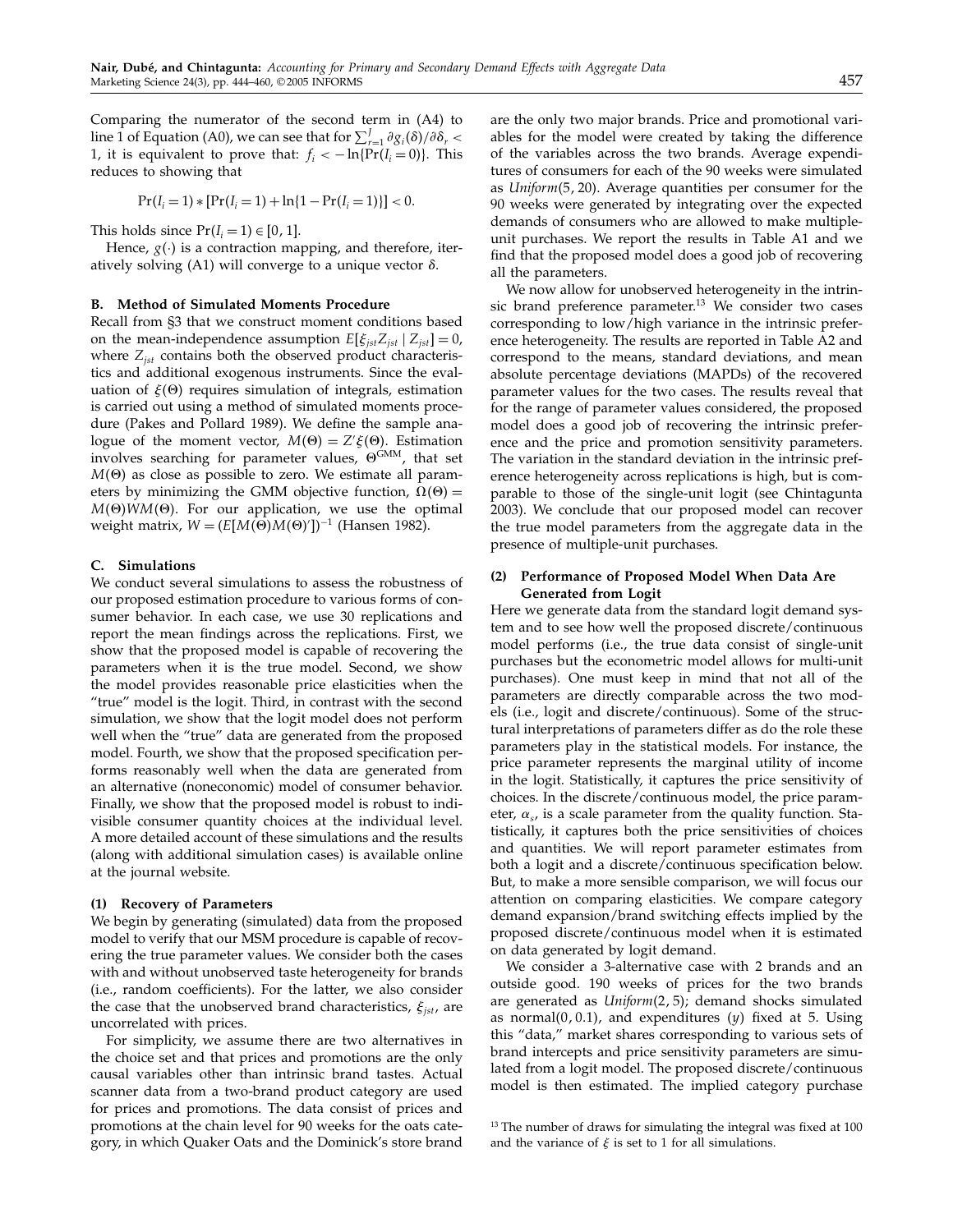Comparing the numerator of the second term in (A4) to line 1 of Equation (A0), we can see that for  $\sum_{r=1}^{J} \frac{\partial g_i(\delta)}{\partial \delta_r}$ 1, it is equivalent to prove that:  $f_i < -\ln{\Pr(I_i = 0)}$ . This reduces to showing that

$$
Pr(I_i = 1) * [Pr(I_i = 1) + ln{1 - Pr(I_i = 1)}] < 0.
$$

This holds since  $Pr(I_i = 1) \in [0, 1]$ .

Hence,  $g(\cdot)$  is a contraction mapping, and therefore, iteratively solving (A1) will converge to a unique vector  $\delta$ .

#### B. Method of Simulated Moments Procedure

Recall from §3 that we construct moment conditions based on the mean-independence assumption  $E[\xi_{jst} Z_{jst} | Z_{jst}] = 0$ , where  $Z_{jst}$  contains both the observed product characteristics and additional exogenous instruments. Since the evaluation of  $\xi(\Theta)$  requires simulation of integrals, estimation is carried out using a method of simulated moments procedure (Pakes and Pollard 1989). We define the sample analogue of the moment vector,  $M(\Theta) = Z' \xi(\Theta)$ . Estimation involves searching for parameter values,  $\Theta^{\rm GMM}$ , that set  $M(\Theta)$  as close as possible to zero. We estimate all parameters by minimizing the GMM objective function,  $\Omega(\Theta)$  =  $M(\Theta)WM(\Theta)$ . For our application, we use the optimal weight matrix,  $W = (E[M(\Theta)M(\Theta')]^{-1}$  (Hansen 1982).

#### C. Simulations

We conduct several simulations to assess the robustness of our proposed estimation procedure to various forms of consumer behavior. In each case, we use 30 replications and report the mean findings across the replications. First, we show that the proposed model is capable of recovering the parameters when it is the true model. Second, we show the model provides reasonable price elasticities when the "true" model is the logit. Third, in contrast with the second simulation, we show that the logit model does not perform well when the "true" data are generated from the proposed model. Fourth, we show that the proposed specification performs reasonably well when the data are generated from an alternative (noneconomic) model of consumer behavior. Finally, we show that the proposed model is robust to indivisible consumer quantity choices at the individual level. A more detailed account of these simulations and the results (along with additional simulation cases) is available online at the journal website.

#### (1) Recovery of Parameters

We begin by generating (simulated) data from the proposed model to verify that our MSM procedure is capable of recovering the true parameter values. We consider both the cases with and without unobserved taste heterogeneity for brands (i.e., random coefficients). For the latter, we also consider the case that the unobserved brand characteristics,  $\xi_{jst}$ , are uncorrelated with prices.

For simplicity, we assume there are two alternatives in the choice set and that prices and promotions are the only causal variables other than intrinsic brand tastes. Actual scanner data from a two-brand product category are used for prices and promotions. The data consist of prices and promotions at the chain level for 90 weeks for the oats category, in which Quaker Oats and the Dominick's store brand

are the only two major brands. Price and promotional variables for the model were created by taking the difference of the variables across the two brands. Average expenditures of consumers for each of the 90 weeks were simulated as  $Uniform(5, 20)$ . Average quantities per consumer for the 90 weeks were generated by integrating over the expected demands of consumers who are allowed to make multipleunit purchases. We report the results in Table A1 and we find that the proposed model does a good job of recovering all the parameters.

We now allow for unobserved heterogeneity in the intrinsic brand preference parameter.<sup>13</sup> We consider two cases corresponding to low/high variance in the intrinsic preference heterogeneity. The results are reported in Table A2 and correspond to the means, standard deviations, and mean absolute percentage deviations (MAPDs) of the recovered parameter values for the two cases. The results reveal that for the range of parameter values considered, the proposed model does a good job of recovering the intrinsic preference and the price and promotion sensitivity parameters. The variation in the standard deviation in the intrinsic preference heterogeneity across replications is high, but is comparable to those of the single-unit logit (see Chintagunta 2003). We conclude that our proposed model can recover the true model parameters from the aggregate data in the presence of multiple-unit purchases.

#### (2) Performance of Proposed Model When Data Are Generated from Logit

Here we generate data from the standard logit demand system and to see how well the proposed discrete/continuous model performs (i.e., the true data consist of single-unit purchases but the econometric model allows for multi-unit purchases). One must keep in mind that not all of the parameters are directly comparable across the two models (i.e., logit and discrete/continuous). Some of the structural interpretations of parameters differ as do the role these parameters play in the statistical models. For instance, the price parameter represents the marginal utility of income in the logit. Statistically, it captures the price sensitivity of choices. In the discrete/continuous model, the price parameter,  $\alpha_s$ , is a scale parameter from the quality function. Statistically, it captures both the price sensitivities of choices and quantities. We will report parameter estimates from both a logit and a discrete/continuous specification below. But, to make a more sensible comparison, we will focus our attention on comparing elasticities. We compare category demand expansion/brand switching effects implied by the proposed discrete/continuous model when it is estimated on data generated by logit demand.

We consider a 3-alternative case with 2 brands and an outside good. 190 weeks of prices for the two brands are generated as  $Uniform(2, 5)$ ; demand shocks simulated as normal $(0, 0.1)$ , and expenditures  $(y)$  fixed at 5. Using this "data," market shares corresponding to various sets of brand intercepts and price sensitivity parameters are simulated from a logit model. The proposed discrete/continuous model is then estimated. The implied category purchase

<sup>&</sup>lt;sup>13</sup> The number of draws for simulating the integral was fixed at 100 and the variance of  $\xi$  is set to 1 for all simulations.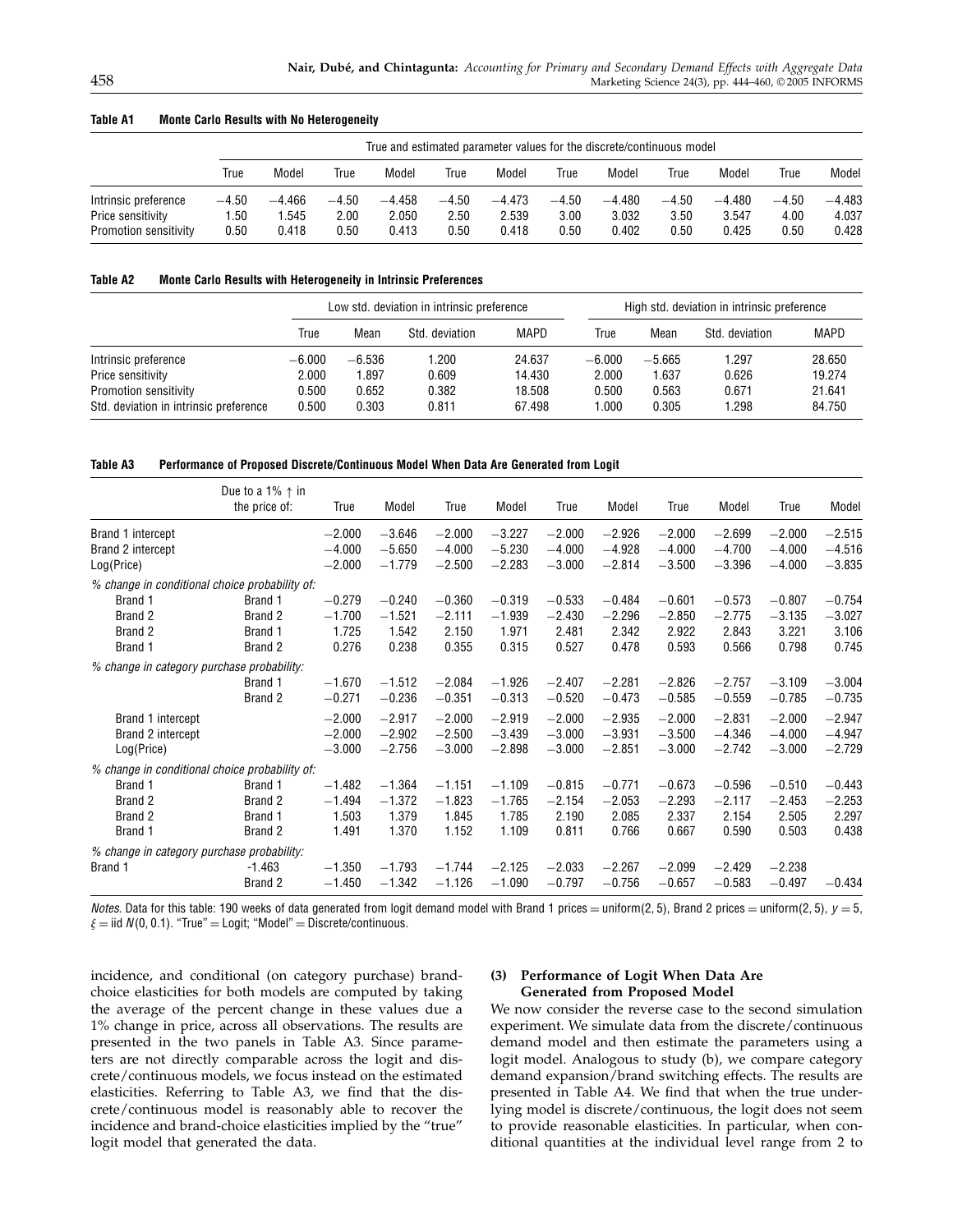|                       |         | True and estimated parameter values for the discrete/continuous model |         |          |         |          |         |          |         |          |         |        |
|-----------------------|---------|-----------------------------------------------------------------------|---------|----------|---------|----------|---------|----------|---------|----------|---------|--------|
|                       | True    | Model                                                                 | True    | Model    | True    | Model    | True    | Model    | True    | Model    | True    | Model  |
| Intrinsic preference  | $-4.50$ | $-4.466$                                                              | $-4.50$ | $-4.458$ | $-4.50$ | $-4.473$ | $-4.50$ | $-4.480$ | $-4.50$ | $-4.480$ | $-4.50$ | -4.483 |
| Price sensitivity     | 1.50    | .545                                                                  | 2.00    | 2.050    | 2.50    | 2.539    | 3.00    | 3.032    | 3.50    | 3.547    | 4.00    | 4.037  |
| Promotion sensitivity | 0.50    | 0.418                                                                 | 0.50    | 0.413    | 0.50    | 0.418    | 0.50    | 0.402    | 0.50    | 0.425    | 0.50    | 0.428  |

#### Table A1 Monte Carlo Results with No Heterogeneity

#### Table A2 Monte Carlo Results with Heterogeneity in Intrinsic Preferences

|                                        |          |          | Low std. deviation in intrinsic preference |        |          | High std. deviation in intrinsic preference |                |        |  |
|----------------------------------------|----------|----------|--------------------------------------------|--------|----------|---------------------------------------------|----------------|--------|--|
|                                        | True     | Mean     | Std. deviation                             | MAPD   | True     | Mean                                        | Std. deviation | MAPD   |  |
| Intrinsic preference                   | $-6.000$ | $-6.536$ | 1.200                                      | 24.637 | $-6.000$ | $-5.665$                                    | 1.297          | 28.650 |  |
| Price sensitivity                      | 2.000    | 1.897    | 0.609                                      | 14.430 | 2.000    | 1.637                                       | 0.626          | 19.274 |  |
| Promotion sensitivity                  | 0.500    | 0.652    | 0.382                                      | 18.508 | 0.500    | 0.563                                       | 0.671          | 21.641 |  |
| Std. deviation in intrinsic preference | 0.500    | 0.303    | 0.811                                      | 67.498 | 1.000    | 0.305                                       | 1.298          | 84.750 |  |

#### Table A3 Performance of Proposed Discrete/Continuous Model When Data Are Generated from Logit

|                                                | Due to a 1% $\uparrow$ in<br>the price of: | True     | Model    | True     | Model    | True     | Model    | True     | Model    | True     | Model    |
|------------------------------------------------|--------------------------------------------|----------|----------|----------|----------|----------|----------|----------|----------|----------|----------|
|                                                |                                            |          |          |          |          |          |          |          |          |          |          |
| Brand 1 intercept                              |                                            | $-2.000$ | $-3.646$ | $-2.000$ | $-3.227$ | $-2.000$ | $-2.926$ | $-2.000$ | $-2.699$ | $-2.000$ | $-2.515$ |
| Brand 2 intercept                              |                                            | $-4.000$ | $-5.650$ | $-4.000$ | $-5.230$ | $-4.000$ | $-4.928$ | $-4.000$ | $-4.700$ | $-4.000$ | $-4.516$ |
| Log(Price)                                     |                                            | $-2.000$ | $-1.779$ | $-2.500$ | $-2.283$ | $-3.000$ | $-2.814$ | $-3.500$ | $-3.396$ | $-4.000$ | $-3.835$ |
| % change in conditional choice probability of: |                                            |          |          |          |          |          |          |          |          |          |          |
| Brand 1                                        | Brand 1                                    | $-0.279$ | $-0.240$ | $-0.360$ | $-0.319$ | $-0.533$ | $-0.484$ | $-0.601$ | $-0.573$ | $-0.807$ | $-0.754$ |
| Brand 2                                        | Brand 2                                    | $-1.700$ | $-1.521$ | $-2.111$ | $-1.939$ | $-2.430$ | $-2.296$ | $-2.850$ | $-2.775$ | $-3.135$ | $-3.027$ |
| Brand 2                                        | Brand 1                                    | 1.725    | 1.542    | 2.150    | 1.971    | 2.481    | 2.342    | 2.922    | 2.843    | 3.221    | 3.106    |
| Brand 1                                        | Brand 2                                    | 0.276    | 0.238    | 0.355    | 0.315    | 0.527    | 0.478    | 0.593    | 0.566    | 0.798    | 0.745    |
| % change in category purchase probability:     |                                            |          |          |          |          |          |          |          |          |          |          |
|                                                | Brand 1                                    | $-1.670$ | $-1.512$ | $-2.084$ | $-1.926$ | $-2.407$ | $-2.281$ | $-2.826$ | $-2.757$ | $-3.109$ | $-3.004$ |
|                                                | Brand 2                                    | $-0.271$ | $-0.236$ | $-0.351$ | $-0.313$ | $-0.520$ | $-0.473$ | $-0.585$ | $-0.559$ | $-0.785$ | $-0.735$ |
| Brand 1 intercept                              |                                            | $-2.000$ | $-2.917$ | $-2.000$ | $-2.919$ | $-2.000$ | $-2.935$ | $-2.000$ | $-2.831$ | $-2.000$ | $-2.947$ |
| Brand 2 intercept                              |                                            | $-2.000$ | $-2.902$ | $-2.500$ | $-3.439$ | $-3.000$ | $-3.931$ | $-3.500$ | $-4.346$ | $-4.000$ | $-4.947$ |
| Log(Price)                                     |                                            | $-3.000$ | $-2.756$ | $-3.000$ | $-2.898$ | $-3.000$ | $-2.851$ | $-3.000$ | $-2.742$ | $-3.000$ | $-2.729$ |
| % change in conditional choice probability of: |                                            |          |          |          |          |          |          |          |          |          |          |
| Brand 1                                        | Brand 1                                    | $-1.482$ | $-1.364$ | $-1.151$ | $-1.109$ | $-0.815$ | $-0.771$ | $-0.673$ | $-0.596$ | $-0.510$ | $-0.443$ |
| Brand 2                                        | Brand 2                                    | $-1.494$ | $-1.372$ | $-1.823$ | $-1.765$ | $-2.154$ | $-2.053$ | $-2.293$ | $-2.117$ | $-2.453$ | $-2.253$ |
| Brand 2                                        | Brand 1                                    | 1.503    | 1.379    | 1.845    | 1.785    | 2.190    | 2.085    | 2.337    | 2.154    | 2.505    | 2.297    |
| Brand 1                                        | Brand 2                                    | 1.491    | 1.370    | 1.152    | 1.109    | 0.811    | 0.766    | 0.667    | 0.590    | 0.503    | 0.438    |
| % change in category purchase probability:     |                                            |          |          |          |          |          |          |          |          |          |          |
| Brand 1                                        | $-1.463$                                   | $-1.350$ | $-1.793$ | $-1.744$ | $-2.125$ | $-2.033$ | $-2.267$ | $-2.099$ | $-2.429$ | $-2.238$ |          |
|                                                | Brand 2                                    | $-1.450$ | $-1.342$ | $-1.126$ | $-1.090$ | $-0.797$ | $-0.756$ | $-0.657$ | $-0.583$ | $-0.497$ | $-0.434$ |

*Notes*. Data for this table: 190 weeks of data generated from logit demand model with Brand 1 prices = uniform(2, 5), Brand 2 prices = uniform(2, 5),  $y = 5$ ,  $\xi$  = iid  $N(0, 0.1)$ . "True" = Logit; "Model" = Discrete/continuous.

incidence, and conditional (on category purchase) brandchoice elasticities for both models are computed by taking the average of the percent change in these values due a 1% change in price, across all observations. The results are presented in the two panels in Table A3. Since parameters are not directly comparable across the logit and discrete/continuous models, we focus instead on the estimated elasticities. Referring to Table A3, we find that the discrete/continuous model is reasonably able to recover the incidence and brand-choice elasticities implied by the "true" logit model that generated the data.

### (3) Performance of Logit When Data Are Generated from Proposed Model

We now consider the reverse case to the second simulation experiment. We simulate data from the discrete/continuous demand model and then estimate the parameters using a logit model. Analogous to study (b), we compare category demand expansion/brand switching effects. The results are presented in Table A4. We find that when the true underlying model is discrete/continuous, the logit does not seem to provide reasonable elasticities. In particular, when conditional quantities at the individual level range from 2 to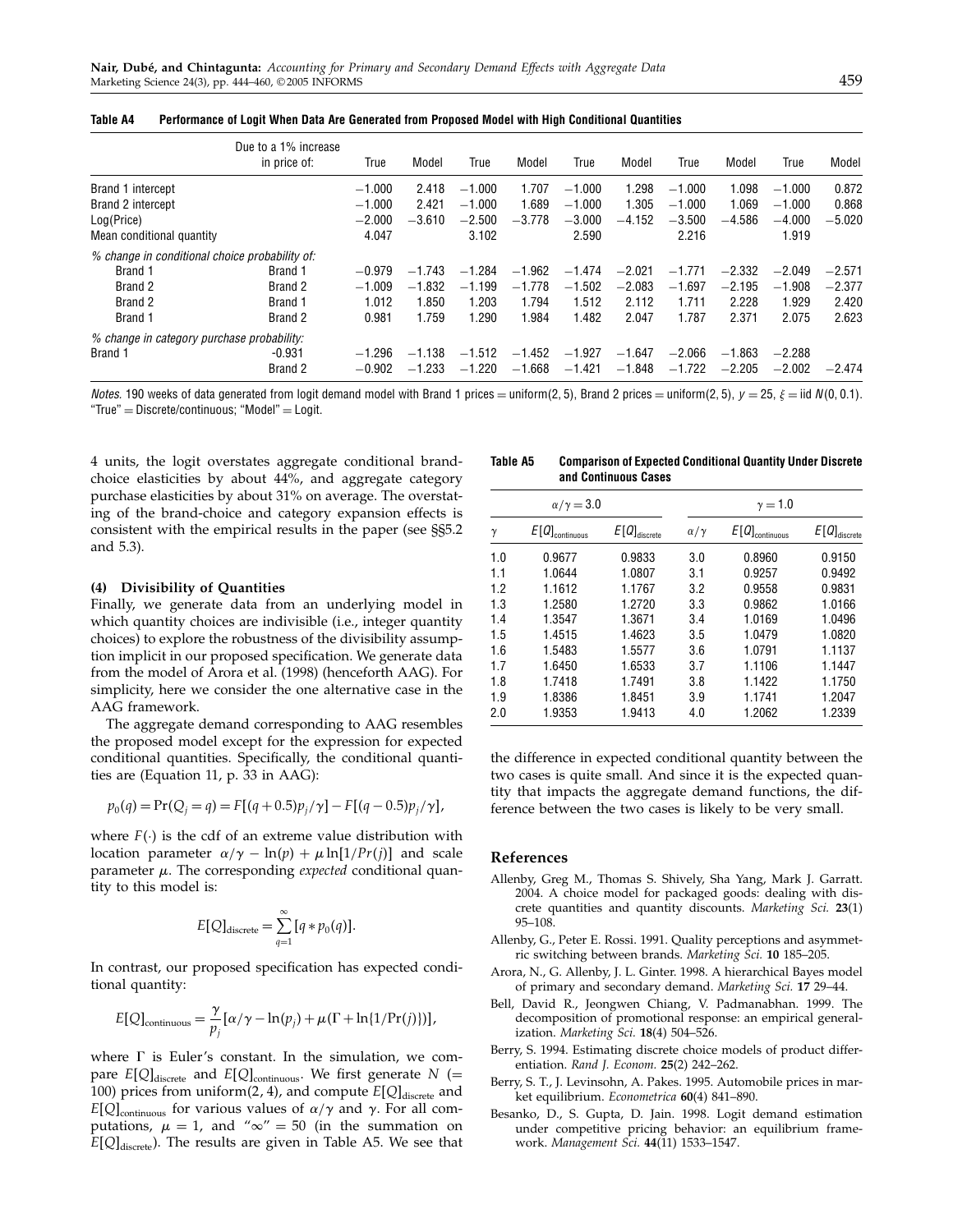|                                                | Due to a 1% increase |          |          |          |          |          |          |          |          |          |          |
|------------------------------------------------|----------------------|----------|----------|----------|----------|----------|----------|----------|----------|----------|----------|
|                                                | in price of:         | True     | Model    | True     | Model    | True     | Model    | True     | Model    | True     | Model    |
| Brand 1 intercept                              |                      | $-1.000$ | 2.418    | $-1.000$ | 1.707    | $-1.000$ | 1.298    | $-1.000$ | 1.098    | $-1.000$ | 0.872    |
| Brand 2 intercept                              |                      | $-1.000$ | 2.421    | $-1.000$ | 1.689    | $-1.000$ | 1.305    | $-1.000$ | 1.069    | $-1.000$ | 0.868    |
| Log(Price)                                     |                      | $-2.000$ | $-3.610$ | $-2.500$ | $-3.778$ | $-3.000$ | $-4.152$ | $-3.500$ | $-4.586$ | $-4.000$ | $-5.020$ |
| Mean conditional quantity                      |                      | 4.047    |          | 3.102    |          | 2.590    |          | 2.216    |          | 1.919    |          |
| % change in conditional choice probability of: |                      |          |          |          |          |          |          |          |          |          |          |
| Brand 1                                        | Brand 1              | $-0.979$ | $-1.743$ | $-1.284$ | $-1.962$ | $-1.474$ | $-2.021$ | $-1.771$ | $-2.332$ | $-2.049$ | $-2.571$ |
| Brand 2                                        | Brand 2              | $-1.009$ | $-1.832$ | $-1.199$ | $-1.778$ | $-1.502$ | $-2.083$ | $-1.697$ | $-2.195$ | $-1.908$ | $-2.377$ |
| Brand 2                                        | Brand 1              | 1.012    | 1.850    | 1.203    | 1.794    | 1.512    | 2.112    | 1.711    | 2.228    | 1.929    | 2.420    |
| Brand 1                                        | Brand 2              | 0.981    | 1.759    | 1.290    | 1.984    | 1.482    | 2.047    | 1.787    | 2.371    | 2.075    | 2.623    |
| % change in category purchase probability:     |                      |          |          |          |          |          |          |          |          |          |          |
| Brand 1                                        | $-0.931$             | $-1.296$ | $-1.138$ | $-1.512$ | $-1.452$ | $-1.927$ | $-1.647$ | $-2.066$ | $-1.863$ | $-2.288$ |          |
|                                                | Brand 2              | $-0.902$ | $-1.233$ | $-1.220$ | $-1.668$ | $-1.421$ | $-1.848$ | $-1.722$ | $-2.205$ | $-2.002$ | $-2.474$ |

| Table A4 | Performance of Logit When Data Are Generated from Proposed Model with High Conditional Quantities |  |  |
|----------|---------------------------------------------------------------------------------------------------|--|--|
|----------|---------------------------------------------------------------------------------------------------|--|--|

*Notes.* 190 weeks of data generated from logit demand model with Brand 1 prices = uniform(2, 5), Brand 2 prices = uniform(2, 5),  $y = 25$ ,  $\xi$  = iid  $N(0, 0.1)$ . "True" = Discrete/continuous; "Model" = Logit.

4 units, the logit overstates aggregate conditional brandchoice elasticities by about 44%, and aggregate category purchase elasticities by about 31% on average. The overstating of the brand-choice and category expansion effects is consistent with the empirical results in the paper (see §§5.2 and 5.3).

#### (4) Divisibility of Quantities

Finally, we generate data from an underlying model in which quantity choices are indivisible (i.e., integer quantity choices) to explore the robustness of the divisibility assumption implicit in our proposed specification. We generate data from the model of Arora et al. (1998) (henceforth AAG). For simplicity, here we consider the one alternative case in the AAG framework.

The aggregate demand corresponding to AAG resembles the proposed model except for the expression for expected conditional quantities. Specifically, the conditional quantities are (Equation 11, p. 33 in AAG):

$$
p_0(q) = \Pr(Q_j = q) = F[(q+0.5)p_j/\gamma] - F[(q-0.5)p_j/\gamma],
$$

where  $F(\cdot)$  is the cdf of an extreme value distribution with location parameter  $\alpha/\gamma - \ln(p) + \mu \ln[1/Pr(j)]$  and scale parameter  $\mu$ . The corresponding *expected* conditional quantity to this model is:

$$
E[Q]_{\text{discrete}} = \sum_{q=1}^{\infty} [q * p_0(q)].
$$

In contrast, our proposed specification has expected conditional quantity:

$$
E[Q]_{\text{continuous}} = \frac{\gamma}{p_j} [\alpha/\gamma - \ln(p_j) + \mu(\Gamma + \ln\{1/\Pr(j)\})],
$$

where  $\Gamma$  is Euler's constant. In the simulation, we compare  $E[Q]_{discrete}$  and  $E[Q]_{continuous}$ . We first generate N (= 100) prices from uniform(2, 4), and compute  $E[Q]_{\text{discrete}}$  and  $E[Q]_{\text{continuous}}$  for various values of  $\alpha/\gamma$  and  $\gamma$ . For all computations,  $\mu = 1$ , and " $\infty$ " = 50 (in the summation on  $E[Q]_{\text{discrete}}$ ). The results are given in Table A5. We see that

Table A5 Comparison of Expected Conditional Quantity Under Discrete and Continuous Cases

|     | $\alpha/\gamma = 3.0$        |                   | $\gamma = 1.0$  |                              |                          |  |  |
|-----|------------------------------|-------------------|-----------------|------------------------------|--------------------------|--|--|
| γ   | $E[Q]$ <sub>continuous</sub> | $E[Q]_{discrete}$ | $\alpha/\gamma$ | $E[Q]$ <sub>continuous</sub> | $E[Q]_{\text{discrete}}$ |  |  |
| 1.0 | 0.9677                       | 0.9833            | 3.0             | 0.8960                       | 0.9150                   |  |  |
| 1.1 | 1.0644                       | 1.0807            | 3.1             | 0.9257                       | 0.9492                   |  |  |
| 1.2 | 1.1612                       | 1.1767            | 3.2             | 0.9558                       | 0.9831                   |  |  |
| 1.3 | 1.2580                       | 1.2720            | 3.3             | 0.9862                       | 1.0166                   |  |  |
| 1.4 | 1.3547                       | 1.3671            | 3.4             | 1.0169                       | 1.0496                   |  |  |
| 1.5 | 1.4515                       | 1.4623            | 3.5             | 1.0479                       | 1.0820                   |  |  |
| 1.6 | 1.5483                       | 1.5577            | 3.6             | 1.0791                       | 1.1137                   |  |  |
| 1.7 | 1.6450                       | 1.6533            | 3.7             | 1.1106                       | 1.1447                   |  |  |
| 1.8 | 1.7418                       | 1.7491            | 3.8             | 1.1422                       | 1.1750                   |  |  |
| 1.9 | 1.8386                       | 1.8451            | 3.9             | 1.1741                       | 1.2047                   |  |  |
| 2.0 | 1.9353                       | 1.9413            | 4.0             | 1.2062                       | 1.2339                   |  |  |

the difference in expected conditional quantity between the two cases is quite small. And since it is the expected quantity that impacts the aggregate demand functions, the difference between the two cases is likely to be very small.

#### References

- Allenby, Greg M., Thomas S. Shively, Sha Yang, Mark J. Garratt. 2004. A choice model for packaged goods: dealing with discrete quantities and quantity discounts. Marketing Sci. 23(1) 95–108.
- Allenby, G., Peter E. Rossi. 1991. Quality perceptions and asymmetric switching between brands. Marketing Sci. 10 185–205.
- Arora, N., G. Allenby, J. L. Ginter. 1998. A hierarchical Bayes model of primary and secondary demand. Marketing Sci. 17 29–44.
- Bell, David R., Jeongwen Chiang, V. Padmanabhan. 1999. The decomposition of promotional response: an empirical generalization. Marketing Sci. 18(4) 504–526.
- Berry, S. 1994. Estimating discrete choice models of product differentiation. Rand J. Econom. 25(2) 242–262.
- Berry, S. T., J. Levinsohn, A. Pakes. 1995. Automobile prices in market equilibrium. Econometrica 60(4) 841–890.
- Besanko, D., S. Gupta, D. Jain. 1998. Logit demand estimation under competitive pricing behavior: an equilibrium framework. Management Sci. 44(11) 1533–1547.